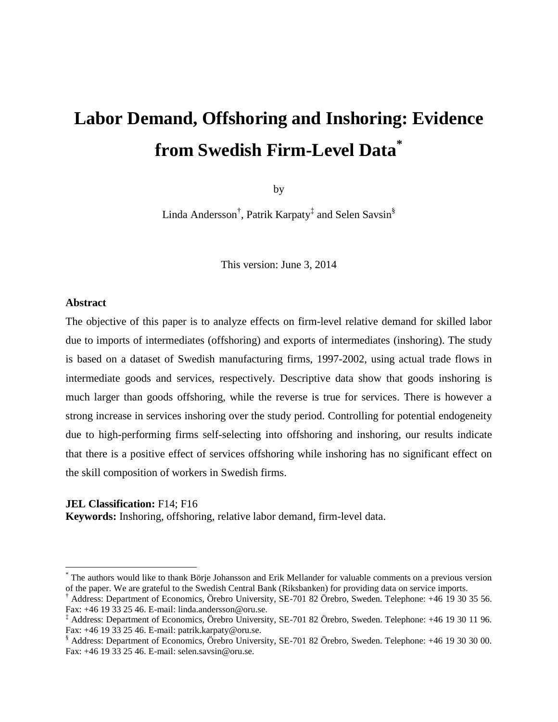# **Labor Demand, Offshoring and Inshoring: Evidence from Swedish Firm-Level Data\***

by

Linda Andersson<sup>†</sup>, Patrik Karpaty<sup>‡</sup> and Selen Savsin<sup>§</sup>

This version: June 3, 2014

# **Abstract**

 $\overline{a}$ 

The objective of this paper is to analyze effects on firm-level relative demand for skilled labor due to imports of intermediates (offshoring) and exports of intermediates (inshoring). The study is based on a dataset of Swedish manufacturing firms, 1997-2002, using actual trade flows in intermediate goods and services, respectively. Descriptive data show that goods inshoring is much larger than goods offshoring, while the reverse is true for services. There is however a strong increase in services inshoring over the study period. Controlling for potential endogeneity due to high-performing firms self-selecting into offshoring and inshoring, our results indicate that there is a positive effect of services offshoring while inshoring has no significant effect on the skill composition of workers in Swedish firms.

#### **JEL Classification:** F14; F16

**Keywords:** Inshoring, offshoring, relative labor demand, firm-level data.

<sup>\*</sup> The authors would like to thank Börje Johansson and Erik Mellander for valuable comments on a previous version of the paper. We are grateful to the Swedish Central Bank (Riksbanken) for providing data on service imports.

<sup>†</sup> Address: Department of Economics, Örebro University, SE-701 82 Örebro, Sweden. Telephone: +46 19 30 35 56. Fax: +46 19 33 25 46. E-mail: linda.andersson@oru.se.

<sup>‡</sup> Address: Department of Economics, Örebro University, SE-701 82 Örebro, Sweden. Telephone: +46 19 30 11 96. Fax: +46 19 33 25 46. E-mail: patrik.karpaty@oru.se.

<sup>§</sup> Address: Department of Economics, Örebro University, SE-701 82 Örebro, Sweden. Telephone: +46 19 30 30 00. Fax: +46 19 33 25 46. E-mail: selen.savsin@oru.se.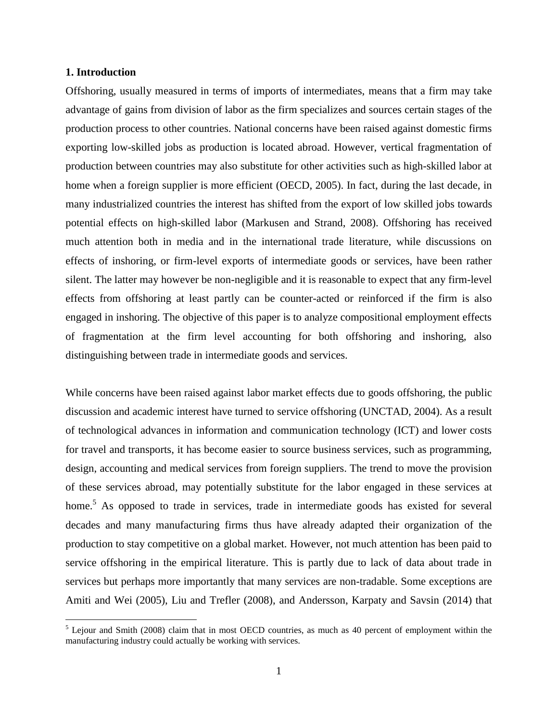# **1. Introduction**

 $\overline{a}$ 

Offshoring, usually measured in terms of imports of intermediates, means that a firm may take advantage of gains from division of labor as the firm specializes and sources certain stages of the production process to other countries. National concerns have been raised against domestic firms exporting low-skilled jobs as production is located abroad. However, vertical fragmentation of production between countries may also substitute for other activities such as high-skilled labor at home when a foreign supplier is more efficient (OECD, 2005). In fact, during the last decade, in many industrialized countries the interest has shifted from the export of low skilled jobs towards potential effects on high-skilled labor (Markusen and Strand, 2008). Offshoring has received much attention both in media and in the international trade literature, while discussions on effects of inshoring, or firm-level exports of intermediate goods or services, have been rather silent. The latter may however be non-negligible and it is reasonable to expect that any firm-level effects from offshoring at least partly can be counter-acted or reinforced if the firm is also engaged in inshoring. The objective of this paper is to analyze compositional employment effects of fragmentation at the firm level accounting for both offshoring and inshoring, also distinguishing between trade in intermediate goods and services.

While concerns have been raised against labor market effects due to goods offshoring, the public discussion and academic interest have turned to service offshoring (UNCTAD, 2004). As a result of technological advances in information and communication technology (ICT) and lower costs for travel and transports, it has become easier to source business services, such as programming, design, accounting and medical services from foreign suppliers. The trend to move the provision of these services abroad, may potentially substitute for the labor engaged in these services at home.<sup>5</sup> As opposed to trade in services, trade in intermediate goods has existed for several decades and many manufacturing firms thus have already adapted their organization of the production to stay competitive on a global market. However, not much attention has been paid to service offshoring in the empirical literature. This is partly due to lack of data about trade in services but perhaps more importantly that many services are non-tradable. Some exceptions are Amiti and Wei (2005), Liu and Trefler (2008), and Andersson, Karpaty and Savsin (2014) that

 $<sup>5</sup>$  Lejour and Smith (2008) claim that in most OECD countries, as much as 40 percent of employment within the</sup> manufacturing industry could actually be working with services.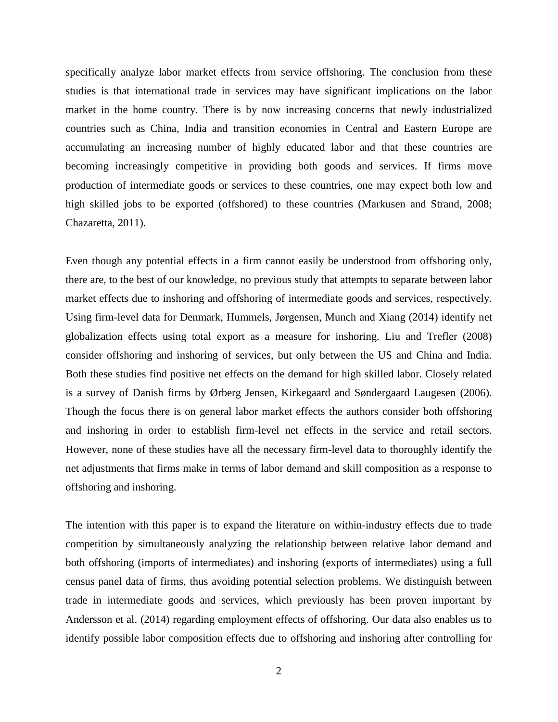specifically analyze labor market effects from service offshoring. The conclusion from these studies is that international trade in services may have significant implications on the labor market in the home country. There is by now increasing concerns that newly industrialized countries such as China, India and transition economies in Central and Eastern Europe are accumulating an increasing number of highly educated labor and that these countries are becoming increasingly competitive in providing both goods and services. If firms move production of intermediate goods or services to these countries, one may expect both low and high skilled jobs to be exported (offshored) to these countries (Markusen and Strand, 2008; Chazaretta, 2011).

Even though any potential effects in a firm cannot easily be understood from offshoring only, there are, to the best of our knowledge, no previous study that attempts to separate between labor market effects due to inshoring and offshoring of intermediate goods and services, respectively. Using firm-level data for Denmark, Hummels, Jørgensen, Munch and Xiang (2014) identify net globalization effects using total export as a measure for inshoring. Liu and Trefler (2008) consider offshoring and inshoring of services, but only between the US and China and India. Both these studies find positive net effects on the demand for high skilled labor. Closely related is a survey of Danish firms by Ørberg Jensen, Kirkegaard and Søndergaard Laugesen (2006). Though the focus there is on general labor market effects the authors consider both offshoring and inshoring in order to establish firm-level net effects in the service and retail sectors. However, none of these studies have all the necessary firm-level data to thoroughly identify the net adjustments that firms make in terms of labor demand and skill composition as a response to offshoring and inshoring.

The intention with this paper is to expand the literature on within-industry effects due to trade competition by simultaneously analyzing the relationship between relative labor demand and both offshoring (imports of intermediates) and inshoring (exports of intermediates) using a full census panel data of firms, thus avoiding potential selection problems. We distinguish between trade in intermediate goods and services, which previously has been proven important by Andersson et al. (2014) regarding employment effects of offshoring. Our data also enables us to identify possible labor composition effects due to offshoring and inshoring after controlling for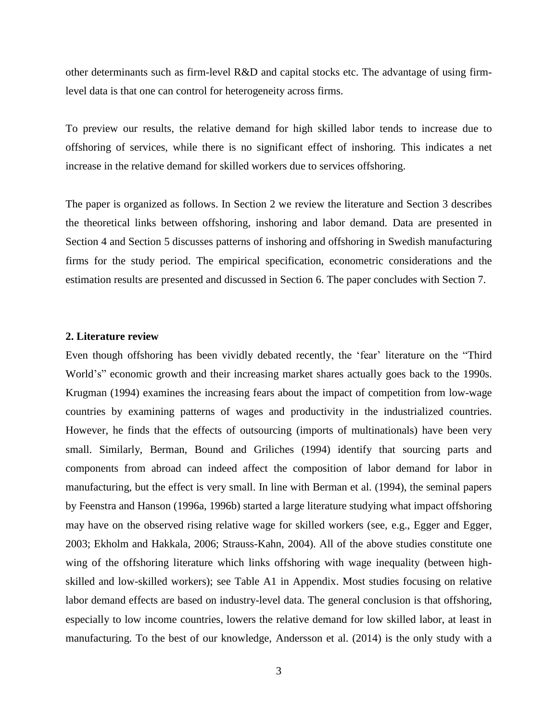other determinants such as firm-level R&D and capital stocks etc. The advantage of using firmlevel data is that one can control for heterogeneity across firms.

To preview our results, the relative demand for high skilled labor tends to increase due to offshoring of services, while there is no significant effect of inshoring. This indicates a net increase in the relative demand for skilled workers due to services offshoring.

The paper is organized as follows. In Section 2 we review the literature and Section 3 describes the theoretical links between offshoring, inshoring and labor demand. Data are presented in Section 4 and Section 5 discusses patterns of inshoring and offshoring in Swedish manufacturing firms for the study period. The empirical specification, econometric considerations and the estimation results are presented and discussed in Section 6. The paper concludes with Section 7.

# **2. Literature review**

Even though offshoring has been vividly debated recently, the 'fear' literature on the "Third World's" economic growth and their increasing market shares actually goes back to the 1990s. Krugman (1994) examines the increasing fears about the impact of competition from low-wage countries by examining patterns of wages and productivity in the industrialized countries. However, he finds that the effects of outsourcing (imports of multinationals) have been very small. Similarly, Berman, Bound and Griliches (1994) identify that sourcing parts and components from abroad can indeed affect the composition of labor demand for labor in manufacturing, but the effect is very small. In line with Berman et al. (1994), the seminal papers by Feenstra and Hanson (1996a, 1996b) started a large literature studying what impact offshoring may have on the observed rising relative wage for skilled workers (see, e.g., Egger and Egger, 2003; Ekholm and Hakkala, 2006; Strauss-Kahn, 2004). All of the above studies constitute one wing of the offshoring literature which links offshoring with wage inequality (between highskilled and low-skilled workers); see Table A1 in Appendix. Most studies focusing on relative labor demand effects are based on industry-level data. The general conclusion is that offshoring, especially to low income countries, lowers the relative demand for low skilled labor, at least in manufacturing. To the best of our knowledge, Andersson et al. (2014) is the only study with a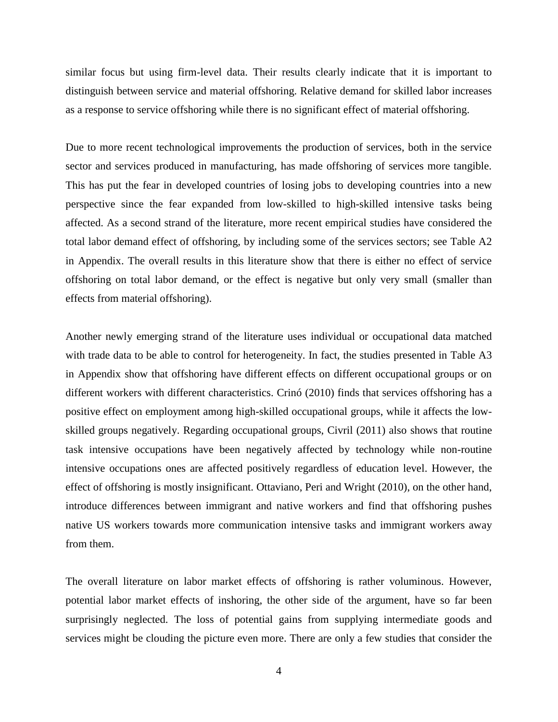similar focus but using firm-level data. Their results clearly indicate that it is important to distinguish between service and material offshoring. Relative demand for skilled labor increases as a response to service offshoring while there is no significant effect of material offshoring.

Due to more recent technological improvements the production of services, both in the service sector and services produced in manufacturing, has made offshoring of services more tangible. This has put the fear in developed countries of losing jobs to developing countries into a new perspective since the fear expanded from low-skilled to high-skilled intensive tasks being affected. As a second strand of the literature, more recent empirical studies have considered the total labor demand effect of offshoring, by including some of the services sectors; see Table A2 in Appendix. The overall results in this literature show that there is either no effect of service offshoring on total labor demand, or the effect is negative but only very small (smaller than effects from material offshoring).

Another newly emerging strand of the literature uses individual or occupational data matched with trade data to be able to control for heterogeneity. In fact, the studies presented in Table A3 in Appendix show that offshoring have different effects on different occupational groups or on different workers with different characteristics. Crinó (2010) finds that services offshoring has a positive effect on employment among high-skilled occupational groups, while it affects the lowskilled groups negatively. Regarding occupational groups, Civril (2011) also shows that routine task intensive occupations have been negatively affected by technology while non-routine intensive occupations ones are affected positively regardless of education level. However, the effect of offshoring is mostly insignificant. Ottaviano, Peri and Wright (2010), on the other hand, introduce differences between immigrant and native workers and find that offshoring pushes native US workers towards more communication intensive tasks and immigrant workers away from them.

The overall literature on labor market effects of offshoring is rather voluminous. However, potential labor market effects of inshoring, the other side of the argument, have so far been surprisingly neglected. The loss of potential gains from supplying intermediate goods and services might be clouding the picture even more. There are only a few studies that consider the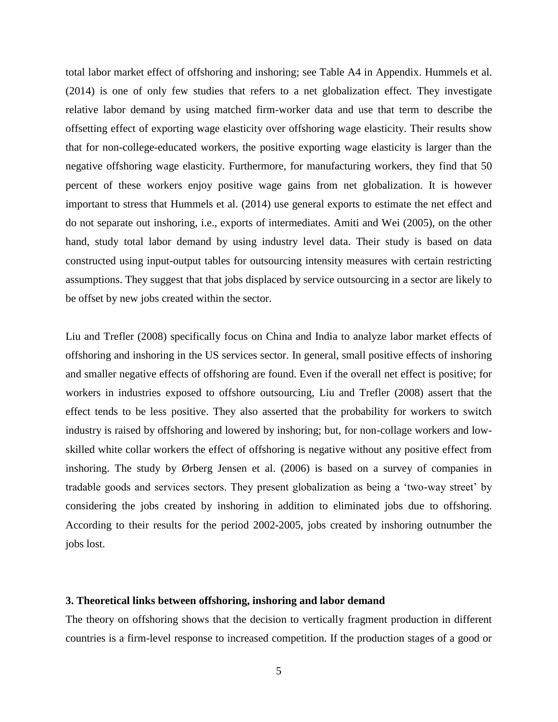total labor market effect of offshoring and inshoring; see Table A4 in Appendix. Hummels et al. (2014) is one of only few studies that refers to a net globalization effect. They investigate relative labor demand by using matched firm-worker data and use that term to describe the offsetting effect of exporting wage elasticity over offshoring wage elasticity. Their results show that for non-college-educated workers, the positive exporting wage elasticity is larger than the negative offshoring wage elasticity. Furthermore, for manufacturing workers, they find that 50 percent of these workers enjoy positive wage gains from net globalization. It is however important to stress that Hummels et al. (2014) use general exports to estimate the net effect and do not separate out inshoring, i.e., exports of intermediates. Amiti and Wei (2005), on the other hand, study total labor demand by using industry level data. Their study is based on data constructed using input-output tables for outsourcing intensity measures with certain restricting assumptions. They suggest that that jobs displaced by service outsourcing in a sector are likely to be offset by new jobs created within the sector.

Liu and Trefler (2008) specifically focus on China and India to analyze labor market effects of offshoring and inshoring in the US services sector. In general, small positive effects of inshoring and smaller negative effects of offshoring are found. Even if the overall net effect is positive; for workers in industries exposed to offshore outsourcing, Liu and Trefler (2008) assert that the effect tends to be less positive. They also asserted that the probability for workers to switch industry is raised by offshoring and lowered by inshoring; but, for non-collage workers and lowskilled white collar workers the effect of offshoring is negative without any positive effect from inshoring. The study by Ørberg Jensen et al. (2006) is based on a survey of companies in tradable goods and services sectors. They present globalization as being a 'two-way street' by considering the jobs created by inshoring in addition to eliminated jobs due to offshoring. According to their results for the period 2002-2005, jobs created by inshoring outnumber the jobs lost.

# **3. Theoretical links between offshoring, inshoring and labor demand**

The theory on offshoring shows that the decision to vertically fragment production in different countries is a firm-level response to increased competition. If the production stages of a good or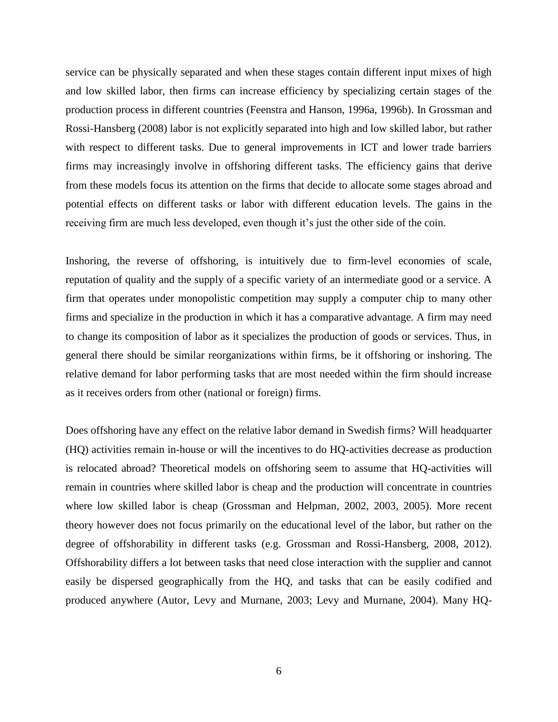service can be physically separated and when these stages contain different input mixes of high and low skilled labor, then firms can increase efficiency by specializing certain stages of the production process in different countries (Feenstra and Hanson, 1996a, 1996b). In Grossman and Rossi-Hansberg (2008) labor is not explicitly separated into high and low skilled labor, but rather with respect to different tasks. Due to general improvements in ICT and lower trade barriers firms may increasingly involve in offshoring different tasks. The efficiency gains that derive from these models focus its attention on the firms that decide to allocate some stages abroad and potential effects on different tasks or labor with different education levels. The gains in the receiving firm are much less developed, even though it's just the other side of the coin.

Inshoring, the reverse of offshoring, is intuitively due to firm-level economies of scale, reputation of quality and the supply of a specific variety of an intermediate good or a service. A firm that operates under monopolistic competition may supply a computer chip to many other firms and specialize in the production in which it has a comparative advantage. A firm may need to change its composition of labor as it specializes the production of goods or services. Thus, in general there should be similar reorganizations within firms, be it offshoring or inshoring. The relative demand for labor performing tasks that are most needed within the firm should increase as it receives orders from other (national or foreign) firms.

Does offshoring have any effect on the relative labor demand in Swedish firms? Will headquarter (HQ) activities remain in-house or will the incentives to do HQ-activities decrease as production is relocated abroad? Theoretical models on offshoring seem to assume that HQ-activities will remain in countries where skilled labor is cheap and the production will concentrate in countries where low skilled labor is cheap (Grossman and Helpman, 2002, 2003, 2005). More recent theory however does not focus primarily on the educational level of the labor, but rather on the degree of offshorability in different tasks (e.g. Grossman and Rossi-Hansberg, 2008, 2012). Offshorability differs a lot between tasks that need close interaction with the supplier and cannot easily be dispersed geographically from the HQ, and tasks that can be easily codified and produced anywhere (Autor, Levy and Murnane, 2003; Levy and Murnane, 2004). Many HQ-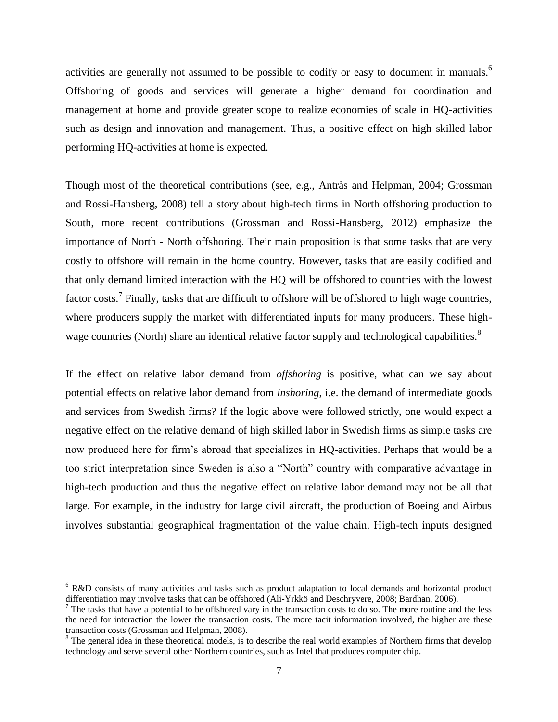activities are generally not assumed to be possible to codify or easy to document in manuals.<sup>6</sup> Offshoring of goods and services will generate a higher demand for coordination and management at home and provide greater scope to realize economies of scale in HQ-activities such as design and innovation and management. Thus, a positive effect on high skilled labor performing HQ-activities at home is expected.

Though most of the theoretical contributions (see, e.g., Antràs and Helpman, 2004; Grossman and Rossi-Hansberg, 2008) tell a story about high-tech firms in North offshoring production to South, more recent contributions (Grossman and Rossi-Hansberg, 2012) emphasize the importance of North - North offshoring. Their main proposition is that some tasks that are very costly to offshore will remain in the home country. However, tasks that are easily codified and that only demand limited interaction with the HQ will be offshored to countries with the lowest factor costs.<sup>7</sup> Finally, tasks that are difficult to offshore will be offshored to high wage countries, where producers supply the market with differentiated inputs for many producers. These highwage countries (North) share an identical relative factor supply and technological capabilities.<sup>8</sup>

If the effect on relative labor demand from *offshoring* is positive, what can we say about potential effects on relative labor demand from *inshoring*, i.e. the demand of intermediate goods and services from Swedish firms? If the logic above were followed strictly, one would expect a negative effect on the relative demand of high skilled labor in Swedish firms as simple tasks are now produced here for firm's abroad that specializes in HQ-activities. Perhaps that would be a too strict interpretation since Sweden is also a "North" country with comparative advantage in high-tech production and thus the negative effect on relative labor demand may not be all that large. For example, in the industry for large civil aircraft, the production of Boeing and Airbus involves substantial geographical fragmentation of the value chain. High-tech inputs designed

 $\overline{a}$ 

<sup>&</sup>lt;sup>6</sup> R&D consists of many activities and tasks such as product adaptation to local demands and horizontal product differentiation may involve tasks that can be offshored (Ali-Yrkkö and Deschryvere, 2008; Bardhan, 2006).

<sup>&</sup>lt;sup>7</sup> The tasks that have a potential to be offshored vary in the transaction costs to do so. The more routine and the less the need for interaction the lower the transaction costs. The more tacit information involved, the higher are these transaction costs (Grossman and Helpman, 2008).

<sup>&</sup>lt;sup>8</sup> The general idea in these theoretical models, is to describe the real world examples of Northern firms that develop technology and serve several other Northern countries, such as Intel that produces computer chip.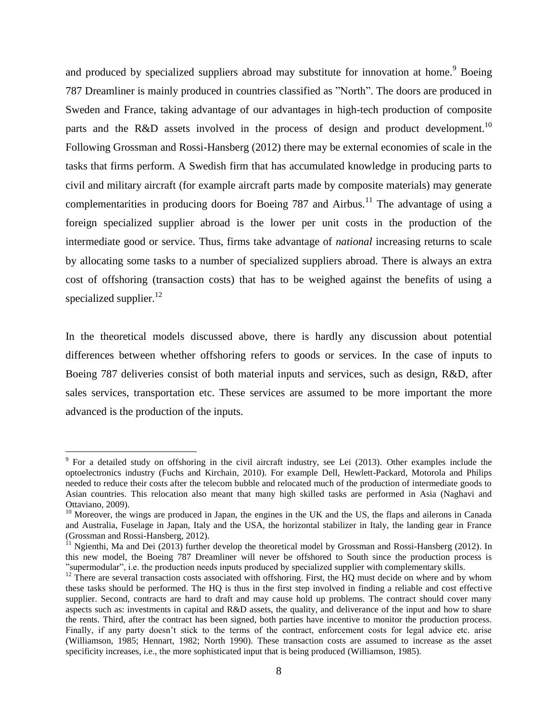and produced by specialized suppliers abroad may substitute for innovation at home.<sup>9</sup> Boeing 787 Dreamliner is mainly produced in countries classified as "North". The doors are produced in Sweden and France, taking advantage of our advantages in high-tech production of composite parts and the R&D assets involved in the process of design and product development.<sup>10</sup> Following Grossman and Rossi-Hansberg (2012) there may be external economies of scale in the tasks that firms perform. A Swedish firm that has accumulated knowledge in producing parts to civil and military aircraft (for example aircraft parts made by composite materials) may generate complementarities in producing doors for Boeing 787 and Airbus.<sup>11</sup> The advantage of using a foreign specialized supplier abroad is the lower per unit costs in the production of the intermediate good or service. Thus, firms take advantage of *national* increasing returns to scale by allocating some tasks to a number of specialized suppliers abroad. There is always an extra cost of offshoring (transaction costs) that has to be weighed against the benefits of using a specialized supplier.<sup>12</sup>

In the theoretical models discussed above, there is hardly any discussion about potential differences between whether offshoring refers to goods or services. In the case of inputs to Boeing 787 deliveries consist of both material inputs and services, such as design, R&D, after sales services, transportation etc. These services are assumed to be more important the more advanced is the production of the inputs.

 $\overline{a}$ 

<sup>&</sup>lt;sup>9</sup> For a detailed study on offshoring in the civil aircraft industry, see Lei (2013). Other examples include the optoelectronics industry (Fuchs and Kirchain, 2010). For example Dell, Hewlett-Packard, Motorola and Philips needed to reduce their costs after the telecom bubble and relocated much of the production of intermediate goods to Asian countries. This relocation also meant that many high skilled tasks are performed in Asia (Naghavi and Ottaviano, 2009).

 $10$  Moreover, the wings are produced in Japan, the engines in the UK and the US, the flaps and ailerons in Canada and Australia, Fuselage in Japan, Italy and the USA, the horizontal stabilizer in Italy, the landing gear in France (Grossman and Rossi-Hansberg, 2012).

 $11$  Ngienthi, Ma and Dei (2013) further develop the theoretical model by Grossman and Rossi-Hansberg (2012). In this new model, the Boeing 787 Dreamliner will never be offshored to South since the production process is "supermodular", i.e. the production needs inputs produced by specialized supplier with complementary skills.

 $12$  There are several transaction costs associated with offshoring. First, the HQ must decide on where and by whom these tasks should be performed. The HQ is thus in the first step involved in finding a reliable and cost effective supplier. Second, contracts are hard to draft and may cause hold up problems. The contract should cover many aspects such as: investments in capital and R&D assets, the quality, and deliverance of the input and how to share the rents. Third, after the contract has been signed, both parties have incentive to monitor the production process. Finally, if any party doesn't stick to the terms of the contract, enforcement costs for legal advice etc. arise (Williamson, 1985; Hennart, 1982; North 1990). These transaction costs are assumed to increase as the asset specificity increases, i.e., the more sophisticated input that is being produced (Williamson, 1985).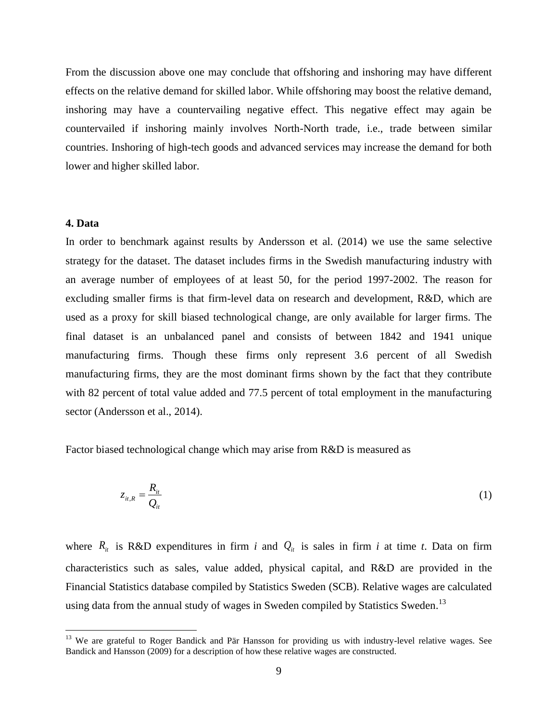From the discussion above one may conclude that offshoring and inshoring may have different effects on the relative demand for skilled labor. While offshoring may boost the relative demand, inshoring may have a countervailing negative effect. This negative effect may again be countervailed if inshoring mainly involves North-North trade, i.e., trade between similar countries. Inshoring of high-tech goods and advanced services may increase the demand for both lower and higher skilled labor.

## **4. Data**

 $\overline{a}$ 

In order to benchmark against results by Andersson et al. (2014) we use the same selective strategy for the dataset. The dataset includes firms in the Swedish manufacturing industry with an average number of employees of at least 50, for the period 1997-2002. The reason for excluding smaller firms is that firm-level data on research and development, R&D, which are used as a proxy for skill biased technological change, are only available for larger firms. The final dataset is an unbalanced panel and consists of between 1842 and 1941 unique manufacturing firms. Though these firms only represent 3.6 percent of all Swedish manufacturing firms, they are the most dominant firms shown by the fact that they contribute with 82 percent of total value added and 77.5 percent of total employment in the manufacturing sector (Andersson et al., 2014).

Factor biased technological change which may arise from R&D is measured as

$$
z_{it,R} = \frac{R_{it}}{Q_{it}} \tag{1}
$$

where  $R_i$  is R&D expenditures in firm *i* and  $Q_i$  is sales in firm *i* at time *t*. Data on firm characteristics such as sales, value added, physical capital, and R&D are provided in the Financial Statistics database compiled by Statistics Sweden (SCB). Relative wages are calculated using data from the annual study of wages in Sweden compiled by Statistics Sweden.<sup>13</sup>

<sup>&</sup>lt;sup>13</sup> We are grateful to Roger Bandick and Pär Hansson for providing us with industry-level relative wages. See Bandick and Hansson (2009) for a description of how these relative wages are constructed.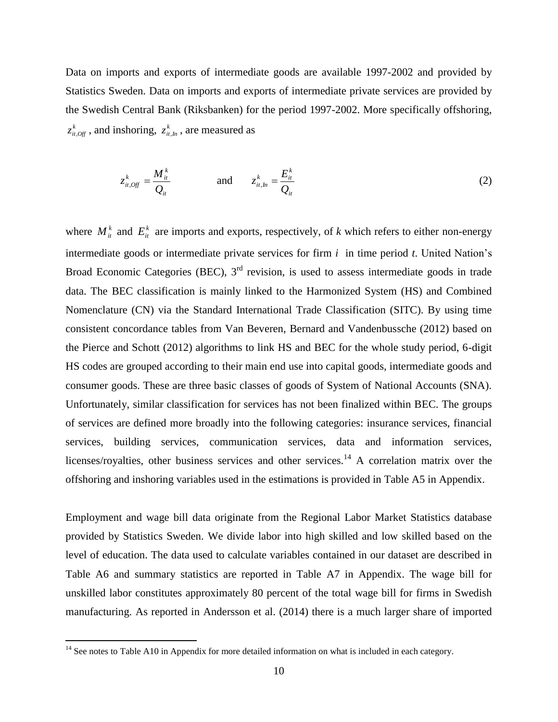Data on imports and exports of intermediate goods are available 1997-2002 and provided by Statistics Sweden. Data on imports and exports of intermediate private services are provided by the Swedish Central Bank (Riksbanken) for the period 1997-2002. More specifically offshoring,  $z_{it, 0f}^k$ , and inshoring,  $z_{it, ln}^k$ , are measured as

$$
z_{it,Off}^k = \frac{M_{it}^k}{Q_{it}} \qquad \qquad \text{and} \qquad z_{it,h}^k = \frac{E_{it}^k}{Q_{it}} \tag{2}
$$

where  $M_i^k$  and  $E_i^k$  are imports and exports, respectively, of *k* which refers to either non-energy intermediate goods or intermediate private services for firm *i* in time period *t*. United Nation's Broad Economic Categories (BEC),  $3<sup>rd</sup>$  revision, is used to assess intermediate goods in trade data. The BEC classification is mainly linked to the Harmonized System (HS) and Combined Nomenclature (CN) via the Standard International Trade Classification (SITC). By using time consistent concordance tables from Van Beveren, Bernard and Vandenbussche (2012) based on the Pierce and Schott (2012) algorithms to link HS and BEC for the whole study period, 6-digit HS codes are grouped according to their main end use into capital goods, intermediate goods and consumer goods. These are three basic classes of goods of System of National Accounts (SNA). Unfortunately, similar classification for services has not been finalized within BEC. The groups of services are defined more broadly into the following categories: insurance services, financial services, building services, communication services, data and information services, licenses/royalties, other business services and other services.<sup>14</sup> A correlation matrix over the offshoring and inshoring variables used in the estimations is provided in Table A5 in Appendix.

Employment and wage bill data originate from the Regional Labor Market Statistics database provided by Statistics Sweden. We divide labor into high skilled and low skilled based on the level of education. The data used to calculate variables contained in our dataset are described in Table A6 and summary statistics are reported in Table A7 in Appendix. The wage bill for unskilled labor constitutes approximately 80 percent of the total wage bill for firms in Swedish manufacturing. As reported in Andersson et al. (2014) there is a much larger share of imported

 $\overline{a}$ 

 $14$  See notes to Table A10 in Appendix for more detailed information on what is included in each category.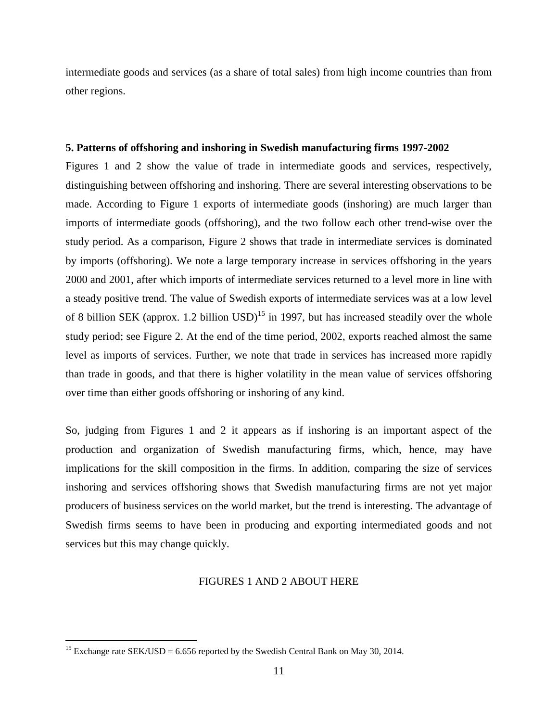intermediate goods and services (as a share of total sales) from high income countries than from other regions.

## **5. Patterns of offshoring and inshoring in Swedish manufacturing firms 1997-2002**

Figures 1 and 2 show the value of trade in intermediate goods and services, respectively, distinguishing between offshoring and inshoring. There are several interesting observations to be made. According to Figure 1 exports of intermediate goods (inshoring) are much larger than imports of intermediate goods (offshoring), and the two follow each other trend-wise over the study period. As a comparison, Figure 2 shows that trade in intermediate services is dominated by imports (offshoring). We note a large temporary increase in services offshoring in the years 2000 and 2001, after which imports of intermediate services returned to a level more in line with a steady positive trend. The value of Swedish exports of intermediate services was at a low level of 8 billion SEK (approx. 1.2 billion USD)<sup>15</sup> in 1997, but has increased steadily over the whole study period; see Figure 2. At the end of the time period, 2002, exports reached almost the same level as imports of services. Further, we note that trade in services has increased more rapidly than trade in goods, and that there is higher volatility in the mean value of services offshoring over time than either goods offshoring or inshoring of any kind.

So, judging from Figures 1 and 2 it appears as if inshoring is an important aspect of the production and organization of Swedish manufacturing firms, which, hence, may have implications for the skill composition in the firms. In addition, comparing the size of services inshoring and services offshoring shows that Swedish manufacturing firms are not yet major producers of business services on the world market, but the trend is interesting. The advantage of Swedish firms seems to have been in producing and exporting intermediated goods and not services but this may change quickly.

# FIGURES 1 AND 2 ABOUT HERE

 $\overline{a}$ 

<sup>&</sup>lt;sup>15</sup> Exchange rate SEK/USD = 6.656 reported by the Swedish Central Bank on May 30, 2014.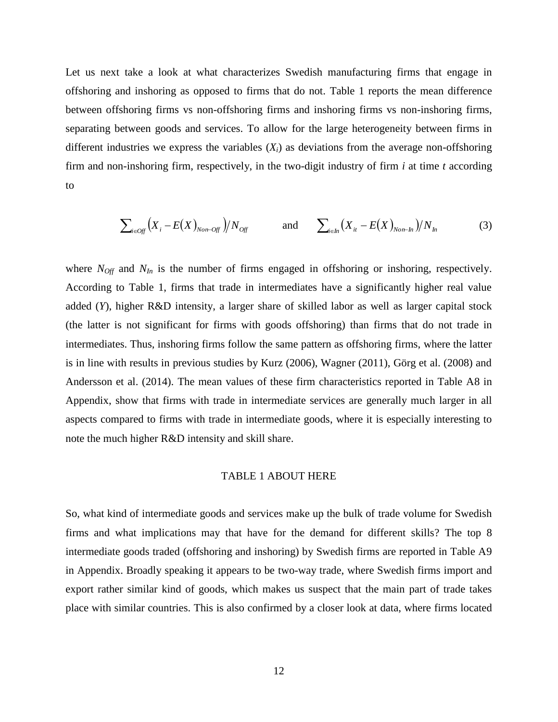Let us next take a look at what characterizes Swedish manufacturing firms that engage in offshoring and inshoring as opposed to firms that do not. Table 1 reports the mean difference between offshoring firms vs non-offshoring firms and inshoring firms vs non-inshoring firms, separating between goods and services. To allow for the large heterogeneity between firms in different industries we express the variables  $(X_i)$  as deviations from the average non-offshoring firm and non-inshoring firm, respectively, in the two-digit industry of firm *i* at time *t* according to

$$
\sum_{i \in \text{Off}} \left( X_i - E(X)_{\text{Non-Off}} \right) / N_{\text{Off}} \qquad \text{and} \qquad \sum_{i \in \text{In}} \left( X_i - E(X)_{\text{Non-In}} \right) / N_{\text{In}} \tag{3}
$$

where  $N_{\text{Off}}$  and  $N_{\text{In}}$  is the number of firms engaged in offshoring or inshoring, respectively. According to Table 1, firms that trade in intermediates have a significantly higher real value added (*Y*), higher R&D intensity, a larger share of skilled labor as well as larger capital stock (the latter is not significant for firms with goods offshoring) than firms that do not trade in intermediates. Thus, inshoring firms follow the same pattern as offshoring firms, where the latter is in line with results in previous studies by Kurz (2006), Wagner (2011), Görg et al. (2008) and Andersson et al. (2014). The mean values of these firm characteristics reported in Table A8 in Appendix, show that firms with trade in intermediate services are generally much larger in all aspects compared to firms with trade in intermediate goods, where it is especially interesting to note the much higher R&D intensity and skill share.

# TABLE 1 ABOUT HERE

So, what kind of intermediate goods and services make up the bulk of trade volume for Swedish firms and what implications may that have for the demand for different skills? The top 8 intermediate goods traded (offshoring and inshoring) by Swedish firms are reported in Table A9 in Appendix. Broadly speaking it appears to be two-way trade, where Swedish firms import and export rather similar kind of goods, which makes us suspect that the main part of trade takes place with similar countries. This is also confirmed by a closer look at data, where firms located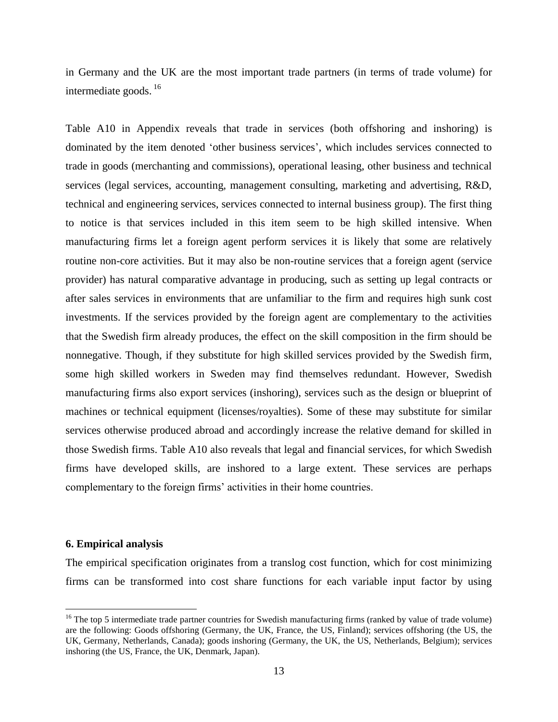in Germany and the UK are the most important trade partners (in terms of trade volume) for intermediate goods.  $^{16}$ 

Table A10 in Appendix reveals that trade in services (both offshoring and inshoring) is dominated by the item denoted 'other business services', which includes services connected to trade in goods (merchanting and commissions), operational leasing, other business and technical services (legal services, accounting, management consulting, marketing and advertising, R&D, technical and engineering services, services connected to internal business group). The first thing to notice is that services included in this item seem to be high skilled intensive. When manufacturing firms let a foreign agent perform services it is likely that some are relatively routine non-core activities. But it may also be non-routine services that a foreign agent (service provider) has natural comparative advantage in producing, such as setting up legal contracts or after sales services in environments that are unfamiliar to the firm and requires high sunk cost investments. If the services provided by the foreign agent are complementary to the activities that the Swedish firm already produces, the effect on the skill composition in the firm should be nonnegative. Though, if they substitute for high skilled services provided by the Swedish firm, some high skilled workers in Sweden may find themselves redundant. However, Swedish manufacturing firms also export services (inshoring), services such as the design or blueprint of machines or technical equipment (licenses/royalties). Some of these may substitute for similar services otherwise produced abroad and accordingly increase the relative demand for skilled in those Swedish firms. Table A10 also reveals that legal and financial services, for which Swedish firms have developed skills, are inshored to a large extent. These services are perhaps complementary to the foreign firms' activities in their home countries.

#### **6. Empirical analysis**

 $\overline{a}$ 

The empirical specification originates from a translog cost function, which for cost minimizing firms can be transformed into cost share functions for each variable input factor by using

 $16$  The top 5 intermediate trade partner countries for Swedish manufacturing firms (ranked by value of trade volume) are the following: Goods offshoring (Germany, the UK, France, the US, Finland); services offshoring (the US, the UK, Germany, Netherlands, Canada); goods inshoring (Germany, the UK, the US, Netherlands, Belgium); services inshoring (the US, France, the UK, Denmark, Japan).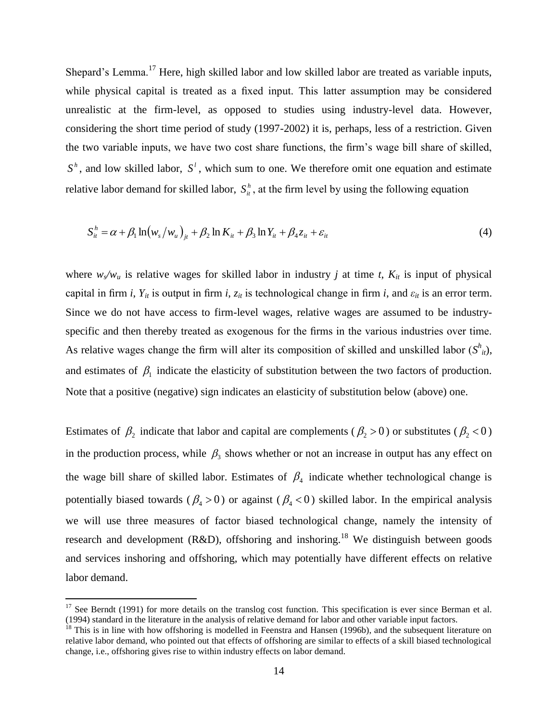Shepard's Lemma.<sup>17</sup> Here, high skilled labor and low skilled labor are treated as variable inputs, while physical capital is treated as a fixed input. This latter assumption may be considered unrealistic at the firm-level, as opposed to studies using industry-level data. However, considering the short time period of study (1997-2002) it is, perhaps, less of a restriction. Given the two variable inputs, we have two cost share functions, the firm's wage bill share of skilled,  $S<sup>h</sup>$ , and low skilled labor,  $S<sup>l</sup>$ , which sum to one. We therefore omit one equation and estimate relative labor demand for skilled labor,  $S_h^h$ , at the firm level by using the following equation

$$
S_{it}^{h} = \alpha + \beta_1 \ln \left( w_s / w_u \right)_{jt} + \beta_2 \ln K_{it} + \beta_3 \ln Y_{it} + \beta_4 z_{it} + \varepsilon_{it}
$$
\n
$$
\tag{4}
$$

where  $w_s/w_u$  is relative wages for skilled labor in industry *j* at time *t*,  $K_{it}$  is input of physical capital in firm *i*,  $Y_{it}$  is output in firm *i*,  $z_{it}$  is technological change in firm *i*, and  $\varepsilon_{it}$  is an error term. Since we do not have access to firm-level wages, relative wages are assumed to be industryspecific and then thereby treated as exogenous for the firms in the various industries over time. As relative wages change the firm will alter its composition of skilled and unskilled labor  $(S<sup>h</sup><sub>it</sub>)$ , and estimates of  $\beta_1$  indicate the elasticity of substitution between the two factors of production. Note that a positive (negative) sign indicates an elasticity of substitution below (above) one.

Estimates of  $\beta_2$  indicate that labor and capital are complements ( $\beta_2$  > 0) or substitutes ( $\beta_2$  < 0) in the production process, while  $\beta_3$  shows whether or not an increase in output has any effect on the wage bill share of skilled labor. Estimates of  $\beta_4$  indicate whether technological change is potentially biased towards ( $\beta_4 > 0$ ) or against ( $\beta_4 < 0$ ) skilled labor. In the empirical analysis we will use three measures of factor biased technological change, namely the intensity of research and development (R&D), offshoring and inshoring.<sup>18</sup> We distinguish between goods and services inshoring and offshoring, which may potentially have different effects on relative labor demand.

 $\overline{a}$ 

 $17$  See Berndt (1991) for more details on the translog cost function. This specification is ever since Berman et al. (1994) standard in the literature in the analysis of relative demand for labor and other variable input factors.

 $18$  This is in line with how offshoring is modelled in Feenstra and Hansen (1996b), and the subsequent literature on relative labor demand, who pointed out that effects of offshoring are similar to effects of a skill biased technological change, i.e., offshoring gives rise to within industry effects on labor demand.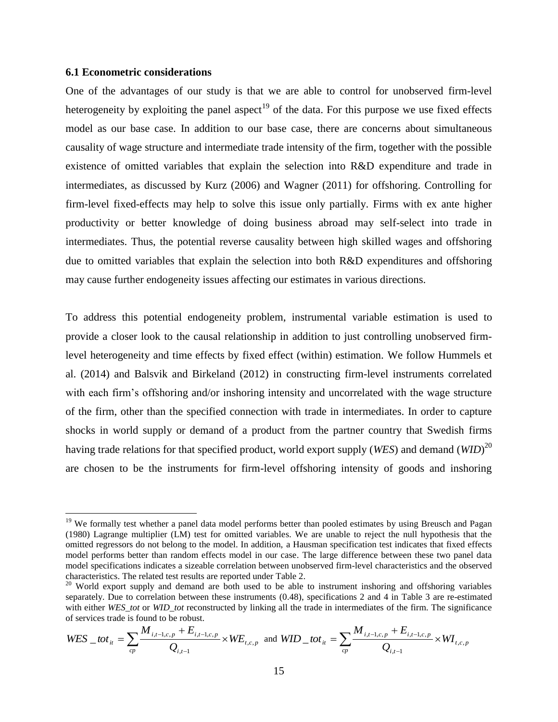# **6.1 Econometric considerations**

 $\overline{a}$ 

One of the advantages of our study is that we are able to control for unobserved firm-level heterogeneity by exploiting the panel aspect<sup>19</sup> of the data. For this purpose we use fixed effects model as our base case. In addition to our base case, there are concerns about simultaneous causality of wage structure and intermediate trade intensity of the firm, together with the possible existence of omitted variables that explain the selection into R&D expenditure and trade in intermediates, as discussed by Kurz (2006) and Wagner (2011) for offshoring. Controlling for firm-level fixed-effects may help to solve this issue only partially. Firms with ex ante higher productivity or better knowledge of doing business abroad may self-select into trade in intermediates. Thus, the potential reverse causality between high skilled wages and offshoring due to omitted variables that explain the selection into both R&D expenditures and offshoring may cause further endogeneity issues affecting our estimates in various directions.

To address this potential endogeneity problem, instrumental variable estimation is used to provide a closer look to the causal relationship in addition to just controlling unobserved firmlevel heterogeneity and time effects by fixed effect (within) estimation. We follow Hummels et al. (2014) and Balsvik and Birkeland (2012) in constructing firm-level instruments correlated with each firm's offshoring and/or inshoring intensity and uncorrelated with the wage structure of the firm, other than the specified connection with trade in intermediates. In order to capture shocks in world supply or demand of a product from the partner country that Swedish firms having trade relations for that specified product, world export supply (*WES*) and demand (*WID*) 20 are chosen to be the instruments for firm-level offshoring intensity of goods and inshoring

$$
WES\_tot_{it} = \sum_{cp} \frac{M_{i,t-1,c,p} + E_{i,t-1,c,p}}{Q_{i,t-1}} \times WE_{t,c,p} \text{ and } WID\_tot_{it} = \sum_{cp} \frac{M_{i,t-1,c,p} + E_{i,t-1,c,p}}{Q_{i,t-1}} \times WI_{t,c,p}
$$

<sup>&</sup>lt;sup>19</sup> We formally test whether a panel data model performs better than pooled estimates by using Breusch and Pagan (1980) Lagrange multiplier (LM) test for omitted variables. We are unable to reject the null hypothesis that the omitted regressors do not belong to the model. In addition, a Hausman specification test indicates that fixed effects model performs better than random effects model in our case. The large difference between these two panel data model specifications indicates a sizeable correlation between unobserved firm-level characteristics and the observed characteristics. The related test results are reported under Table 2.

 $20$  World export supply and demand are both used to be able to instrument inshoring and offshoring variables separately. Due to correlation between these instruments (0.48), specifications 2 and 4 in Table 3 are re-estimated with either *WES* tot or *WID* tot reconstructed by linking all the trade in intermediates of the firm. The significance of services trade is found to be robust.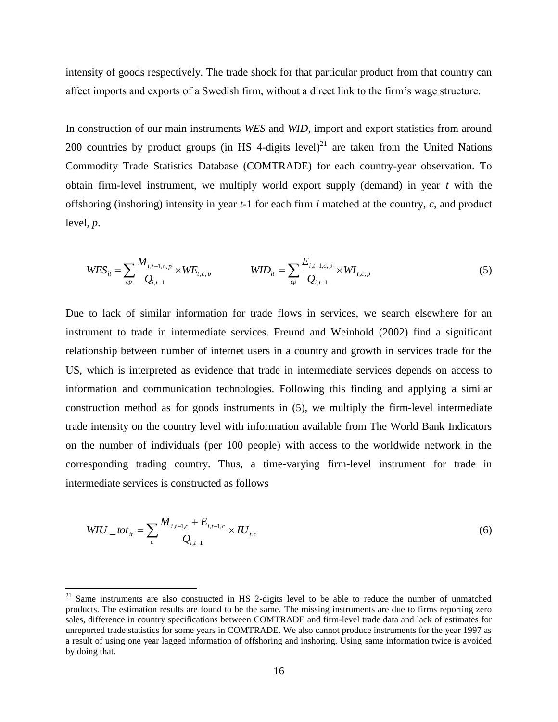intensity of goods respectively. The trade shock for that particular product from that country can affect imports and exports of a Swedish firm, without a direct link to the firm's wage structure.

In construction of our main instruments *WES* and *WID*, import and export statistics from around 200 countries by product groups (in HS 4-digits level)<sup>21</sup> are taken from the United Nations Commodity Trade Statistics Database (COMTRADE) for each country-year observation. To obtain firm-level instrument, we multiply world export supply (demand) in year *t* with the offshoring (inshoring) intensity in year *t*-1 for each firm *i* matched at the country, *c*, and product level, *p*.

$$
WES_{it} = \sum_{cp} \frac{M_{i,t-1,c,p}}{Q_{i,t-1}} \times WE_{t,c,p} \qquad \qquad WID_{it} = \sum_{cp} \frac{E_{i,t-1,c,p}}{Q_{i,t-1}} \times WI_{t,c,p} \qquad (5)
$$

Due to lack of similar information for trade flows in services, we search elsewhere for an instrument to trade in intermediate services. Freund and Weinhold (2002) find a significant relationship between number of internet users in a country and growth in services trade for the US, which is interpreted as evidence that trade in intermediate services depends on access to information and communication technologies. Following this finding and applying a similar construction method as for goods instruments in (5), we multiply the firm-level intermediate trade intensity on the country level with information available from The World Bank Indicators on the number of individuals (per 100 people) with access to the worldwide network in the corresponding trading country. Thus, a time-varying firm-level instrument for trade in intermediate services is constructed as follows

$$
WIU_{-}tot_{it} = \sum_{c} \frac{M_{i,t-1,c} + E_{i,t-1,c}}{Q_{i,t-1}} \times IU_{t,c}
$$
 (6)

 $\overline{a}$ 

<sup>&</sup>lt;sup>21</sup> Same instruments are also constructed in HS 2-digits level to be able to reduce the number of unmatched products. The estimation results are found to be the same. The missing instruments are due to firms reporting zero sales, difference in country specifications between COMTRADE and firm-level trade data and lack of estimates for unreported trade statistics for some years in COMTRADE. We also cannot produce instruments for the year 1997 as a result of using one year lagged information of offshoring and inshoring. Using same information twice is avoided by doing that.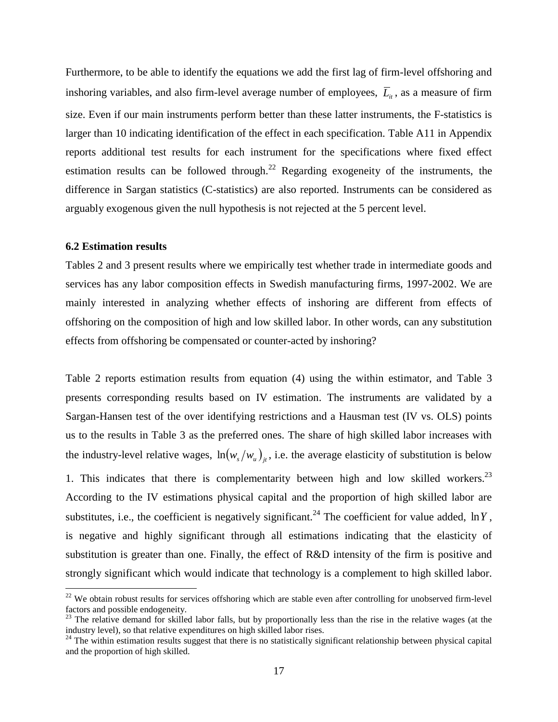Furthermore, to be able to identify the equations we add the first lag of firm-level offshoring and inshoring variables, and also firm-level average number of employees,  $\overline{L}_{it}$ , as a measure of firm size. Even if our main instruments perform better than these latter instruments, the F-statistics is larger than 10 indicating identification of the effect in each specification. Table A11 in Appendix reports additional test results for each instrument for the specifications where fixed effect estimation results can be followed through.<sup>22</sup> Regarding exogeneity of the instruments, the difference in Sargan statistics (C-statistics) are also reported. Instruments can be considered as arguably exogenous given the null hypothesis is not rejected at the 5 percent level.

#### **6.2 Estimation results**

 $\overline{a}$ 

Tables 2 and 3 present results where we empirically test whether trade in intermediate goods and services has any labor composition effects in Swedish manufacturing firms, 1997-2002. We are mainly interested in analyzing whether effects of inshoring are different from effects of offshoring on the composition of high and low skilled labor. In other words, can any substitution effects from offshoring be compensated or counter-acted by inshoring?

Table 2 reports estimation results from equation (4) using the within estimator, and Table 3 presents corresponding results based on IV estimation. The instruments are validated by a Sargan-Hansen test of the over identifying restrictions and a Hausman test (IV vs. OLS) points us to the results in Table 3 as the preferred ones. The share of high skilled labor increases with the industry-level relative wages,  $ln(w_s/w_u)_{\mu}$ , i.e. the average elasticity of substitution is below 1. This indicates that there is complementarity between high and low skilled workers.<sup>23</sup> According to the IV estimations physical capital and the proportion of high skilled labor are substitutes, i.e., the coefficient is negatively significant.<sup>24</sup> The coefficient for value added,  $\ln Y$ , is negative and highly significant through all estimations indicating that the elasticity of substitution is greater than one. Finally, the effect of R&D intensity of the firm is positive and strongly significant which would indicate that technology is a complement to high skilled labor.

 $22$  We obtain robust results for services offshoring which are stable even after controlling for unobserved firm-level factors and possible endogeneity.

<sup>&</sup>lt;sup>23</sup> The relative demand for skilled labor falls, but by proportionally less than the rise in the relative wages (at the industry level), so that relative expenditures on high skilled labor rises.

 $24$  The within estimation results suggest that there is no statistically significant relationship between physical capital and the proportion of high skilled.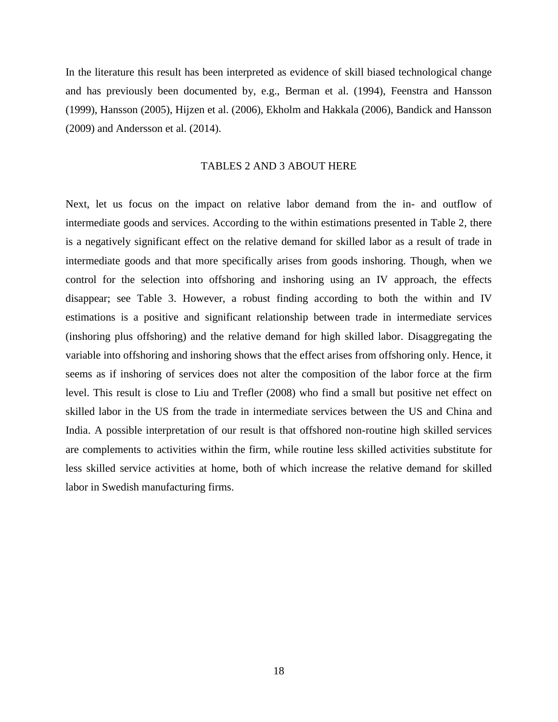In the literature this result has been interpreted as evidence of skill biased technological change and has previously been documented by, e.g., Berman et al. (1994), Feenstra and Hansson (1999), Hansson (2005), Hijzen et al. (2006), Ekholm and Hakkala (2006), Bandick and Hansson (2009) and Andersson et al. (2014).

## TABLES 2 AND 3 ABOUT HERE

Next, let us focus on the impact on relative labor demand from the in- and outflow of intermediate goods and services. According to the within estimations presented in Table 2, there is a negatively significant effect on the relative demand for skilled labor as a result of trade in intermediate goods and that more specifically arises from goods inshoring. Though, when we control for the selection into offshoring and inshoring using an IV approach, the effects disappear; see Table 3. However, a robust finding according to both the within and IV estimations is a positive and significant relationship between trade in intermediate services (inshoring plus offshoring) and the relative demand for high skilled labor. Disaggregating the variable into offshoring and inshoring shows that the effect arises from offshoring only. Hence, it seems as if inshoring of services does not alter the composition of the labor force at the firm level. This result is close to Liu and Trefler (2008) who find a small but positive net effect on skilled labor in the US from the trade in intermediate services between the US and China and India. A possible interpretation of our result is that offshored non-routine high skilled services are complements to activities within the firm, while routine less skilled activities substitute for less skilled service activities at home, both of which increase the relative demand for skilled labor in Swedish manufacturing firms.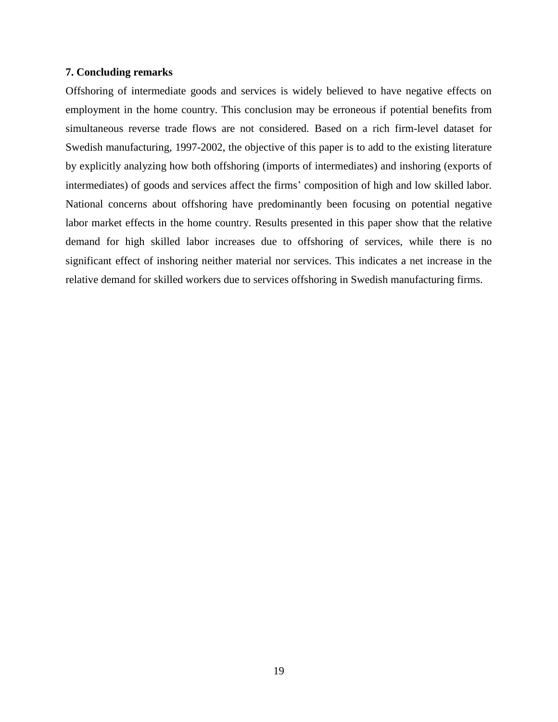# **7. Concluding remarks**

Offshoring of intermediate goods and services is widely believed to have negative effects on employment in the home country. This conclusion may be erroneous if potential benefits from simultaneous reverse trade flows are not considered. Based on a rich firm-level dataset for Swedish manufacturing, 1997-2002, the objective of this paper is to add to the existing literature by explicitly analyzing how both offshoring (imports of intermediates) and inshoring (exports of intermediates) of goods and services affect the firms' composition of high and low skilled labor. National concerns about offshoring have predominantly been focusing on potential negative labor market effects in the home country. Results presented in this paper show that the relative demand for high skilled labor increases due to offshoring of services, while there is no significant effect of inshoring neither material nor services. This indicates a net increase in the relative demand for skilled workers due to services offshoring in Swedish manufacturing firms.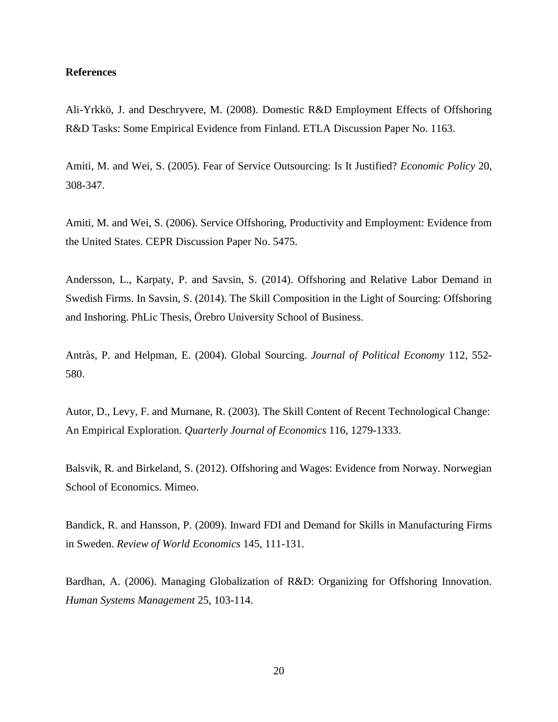# **References**

Ali-Yrkkö, J. and Deschryvere, M. (2008). Domestic R&D Employment Effects of Offshoring R&D Tasks: Some Empirical Evidence from Finland. ETLA Discussion Paper No. 1163.

Amiti, M. and Wei, S. (2005). Fear of Service Outsourcing: Is It Justified? *Economic Policy* 20, 308-347.

Amiti, M. and Wei, S. (2006). Service Offshoring, Productivity and Employment: Evidence from the United States. CEPR Discussion Paper No. 5475.

Andersson, L., Karpaty, P. and Savsin, S. (2014). Offshoring and Relative Labor Demand in Swedish Firms. In Savsin, S. (2014). The Skill Composition in the Light of Sourcing: Offshoring and Inshoring. PhLic Thesis, Örebro University School of Business.

Antràs, P. and Helpman, E. (2004). Global Sourcing. *Journal of Political Economy* 112, 552- 580.

Autor, D., Levy, F. and Murnane, R. (2003). The Skill Content of Recent Technological Change: An Empirical Exploration. *Quarterly Journal of Economics* 116, 1279-1333.

Balsvik, R. and Birkeland, S. (2012). Offshoring and Wages: Evidence from Norway. Norwegian School of Economics. Mimeo.

Bandick, R. and Hansson, P. (2009). Inward FDI and Demand for Skills in Manufacturing Firms in Sweden. *Review of World Economics* 145, 111-131.

Bardhan, A. (2006). Managing Globalization of R&D: Organizing for Offshoring Innovation. *Human Systems Management* 25, 103-114.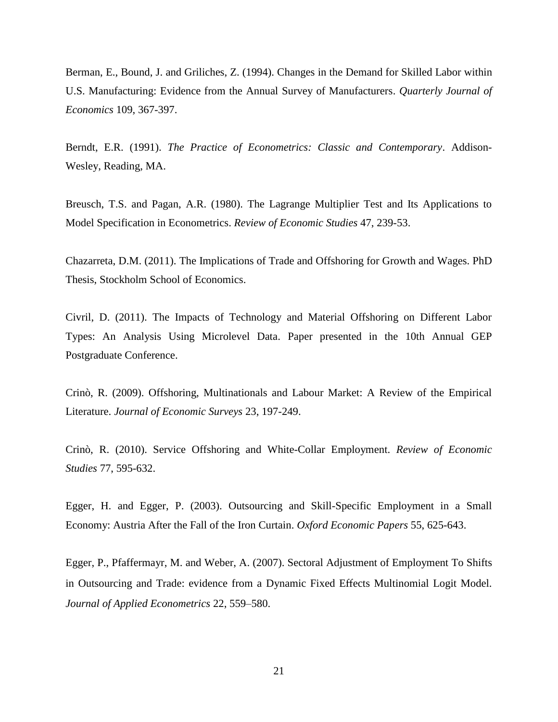Berman, E., Bound, J. and Griliches, Z. (1994). Changes in the Demand for Skilled Labor within U.S. Manufacturing: Evidence from the Annual Survey of Manufacturers. *Quarterly Journal of Economics* 109, 367-397.

Berndt, E.R. (1991). *The Practice of Econometrics: Classic and Contemporary*. Addison-Wesley, Reading, MA.

Breusch, T.S. and Pagan, A.R. (1980). The Lagrange Multiplier Test and Its Applications to Model Specification in Econometrics. *Review of Economic Studies* 47, 239-53.

Chazarreta, D.M. (2011). The Implications of Trade and Offshoring for Growth and Wages. PhD Thesis, Stockholm School of Economics.

Civril, D. (2011). The Impacts of Technology and Material Offshoring on Different Labor Types: An Analysis Using Microlevel Data. Paper presented in the 10th Annual GEP Postgraduate Conference.

Crinò, R. (2009). Offshoring, Multinationals and Labour Market: A Review of the Empirical Literature. *Journal of Economic Surveys* 23, 197-249.

Crinò, R. (2010). Service Offshoring and White-Collar Employment. *Review of Economic Studies* 77, 595-632.

Egger, H. and Egger, P. (2003). Outsourcing and Skill-Specific Employment in a Small Economy: Austria After the Fall of the Iron Curtain. *Oxford Economic Papers* 55, 625-643.

Egger, P., Pfaffermayr, M. and Weber, A. (2007). Sectoral Adjustment of Employment To Shifts in Outsourcing and Trade: evidence from a Dynamic Fixed Effects Multinomial Logit Model. *Journal of Applied Econometrics* 22, 559–580.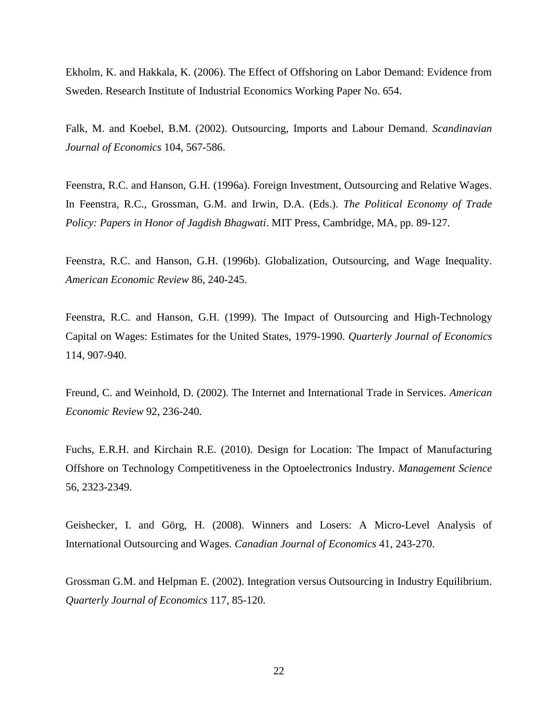Ekholm, K. and Hakkala, K. (2006). The Effect of Offshoring on Labor Demand: Evidence from Sweden. Research Institute of Industrial Economics Working Paper No. 654.

Falk, M. and Koebel, B.M. (2002). Outsourcing, Imports and Labour Demand. *Scandinavian Journal of Economics* 104, 567-586.

Feenstra, R.C. and Hanson, G.H. (1996a). Foreign Investment, Outsourcing and Relative Wages. In Feenstra, R.C., Grossman, G.M. and Irwin, D.A. (Eds.). *The Political Economy of Trade Policy: Papers in Honor of Jagdish Bhagwati*. MIT Press, Cambridge, MA, pp. 89-127.

Feenstra, R.C. and Hanson, G.H. (1996b). Globalization, Outsourcing, and Wage Inequality. *American Economic Review* 86, 240-245.

Feenstra, R.C. and Hanson, G.H. (1999). The Impact of Outsourcing and High-Technology Capital on Wages: Estimates for the United States, 1979-1990. *Quarterly Journal of Economics*  114, 907-940.

Freund, C. and Weinhold, D. (2002). The Internet and International Trade in Services. *American Economic Review* 92, 236-240.

Fuchs, E.R.H. and Kirchain R.E. (2010). Design for Location: The Impact of Manufacturing Offshore on Technology Competitiveness in the Optoelectronics Industry. *Management Science* 56, 2323-2349.

Geishecker, I. and Görg, H. (2008). Winners and Losers: A Micro-Level Analysis of International Outsourcing and Wages. *Canadian Journal of Economics* 41, 243-270.

Grossman G.M. and Helpman E. (2002). Integration versus Outsourcing in Industry Equilibrium. *Quarterly Journal of Economics* 117, 85-120.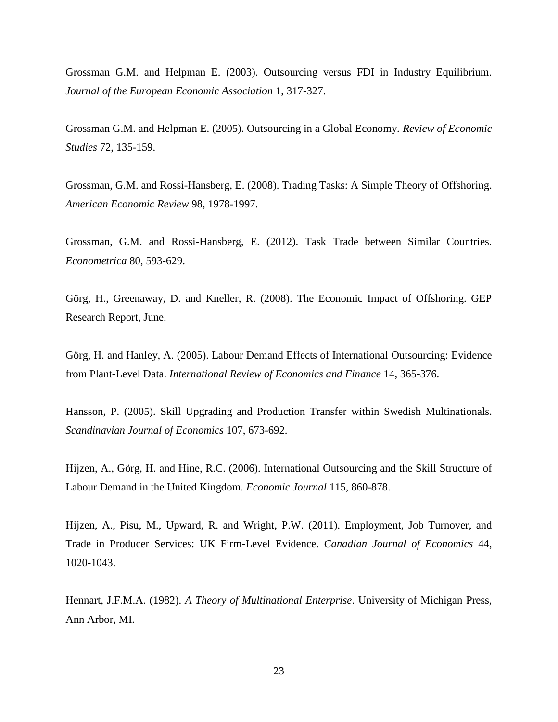Grossman G.M. and Helpman E. (2003). Outsourcing versus FDI in Industry Equilibrium. *Journal of the European Economic Association* 1, 317-327.

Grossman G.M. and Helpman E. (2005). Outsourcing in a Global Economy. *Review of Economic Studies* 72, 135-159.

Grossman, G.M. and Rossi-Hansberg, E. (2008). Trading Tasks: A Simple Theory of Offshoring. *American Economic Review* 98, 1978-1997.

Grossman, G.M. and Rossi-Hansberg, E. (2012). Task Trade between Similar Countries. *Econometrica* 80, 593-629.

Görg, H., Greenaway, D. and Kneller, R. (2008). The Economic Impact of Offshoring. GEP Research Report, June.

Görg, H. and Hanley, A. (2005). Labour Demand Effects of International Outsourcing: Evidence from Plant-Level Data. *International Review of Economics and Finance* 14, 365-376.

Hansson, P. (2005). Skill Upgrading and Production Transfer within Swedish Multinationals. *Scandinavian Journal of Economics* 107, 673-692.

Hijzen, A., Görg, H. and Hine, R.C. (2006). International Outsourcing and the Skill Structure of Labour Demand in the United Kingdom. *Economic Journal* 115, 860-878.

Hijzen, A., Pisu, M., Upward, R. and Wright, P.W. (2011). Employment, Job Turnover, and Trade in Producer Services: UK Firm-Level Evidence. *Canadian Journal of Economics* 44, 1020-1043.

Hennart, J.F.M.A. (1982). *A Theory of Multinational Enterprise*. University of Michigan Press, Ann Arbor, MI.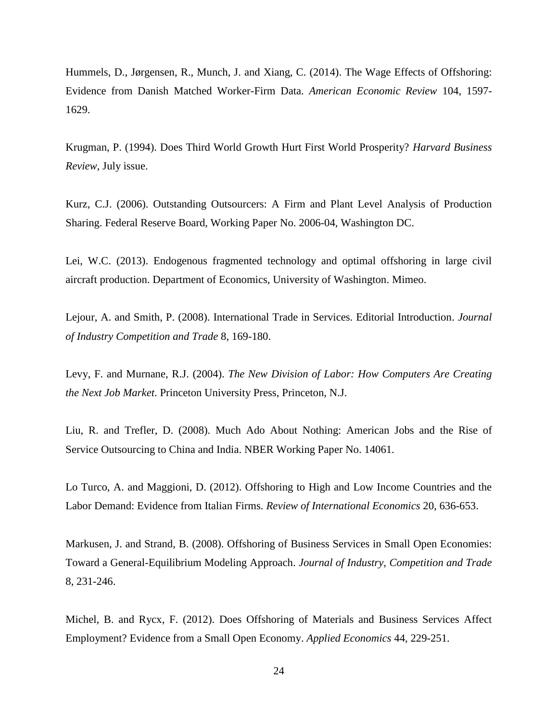Hummels, D., Jørgensen, R., Munch, J. and Xiang, C. (2014). The Wage Effects of Offshoring: Evidence from Danish Matched Worker-Firm Data. *American Economic Review* 104, 1597- 1629.

Krugman, P. (1994). Does Third World Growth Hurt First World Prosperity? *Harvard Business Review*, July issue.

Kurz, C.J. (2006). Outstanding Outsourcers: A Firm and Plant Level Analysis of Production Sharing. Federal Reserve Board, Working Paper No. 2006-04, Washington DC.

Lei, W.C. (2013). Endogenous fragmented technology and optimal offshoring in large civil aircraft production. Department of Economics, University of Washington. Mimeo.

Lejour, A. and Smith, P. (2008). International Trade in Services. Editorial Introduction. *Journal of Industry Competition and Trade* 8, 169-180.

Levy, F. and Murnane, R.J. (2004). *The New Division of Labor: How Computers Are Creating the Next Job Market*. Princeton University Press, Princeton, N.J.

Liu, R. and Trefler, D. (2008). Much Ado About Nothing: American Jobs and the Rise of Service Outsourcing to China and India. NBER Working Paper No. 14061.

Lo Turco, A. and Maggioni, D. (2012). Offshoring to High and Low Income Countries and the Labor Demand: Evidence from Italian Firms. *Review of International Economics* 20, 636-653.

Markusen, J. and Strand, B. (2008). [Offshoring of Business Services in Small Open Economies:](http://ideas.repec.org/a/kap/jincot/v8y2008i3p231-246.html)  [Toward a General-Equilibrium Modeling Approach.](http://ideas.repec.org/a/kap/jincot/v8y2008i3p231-246.html) *[Journal of Industry, Competition and Trade](http://ideas.repec.org/s/kap/jincot.html)* 8, 231-246.

Michel, B. and Rycx, F. (2012). Does Offshoring of Materials and Business Services Affect Employment? Evidence from a Small Open Economy. *Applied Economics* 44, 229-251.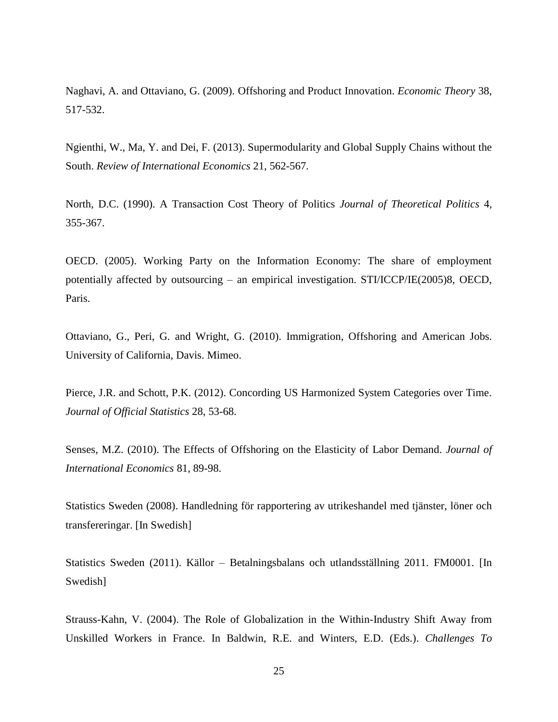Naghavi, A. and Ottaviano, G. (2009). Offshoring and Product Innovation. *Economic Theory* 38, 517-532.

Ngienthi, W., Ma, Y. and Dei, F. (2013). Supermodularity and Global Supply Chains without the South. *Review of International Economics* 21, 562-567.

North, D.C. (1990). A Transaction Cost Theory of Politics *Journal of Theoretical Politics* 4, 355-367.

OECD. (2005). Working Party on the Information Economy: The share of employment potentially affected by outsourcing – an empirical investigation. STI/ICCP/IE(2005)8, OECD, Paris.

Ottaviano, G., Peri, G. and Wright, G. (2010). Immigration, Offshoring and American Jobs. University of California, Davis. Mimeo.

Pierce, J.R. and Schott, P.K. (2012). Concording US Harmonized System Categories over Time. *Journal of Official Statistics* 28, 53-68.

Senses, M.Z. (2010). The Effects of Offshoring on the Elasticity of Labor Demand. *Journal of International Economics* 81, 89-98.

Statistics Sweden (2008). Handledning för rapportering av utrikeshandel med tjänster, löner och transfereringar. [In Swedish]

Statistics Sweden (2011). Källor – Betalningsbalans och utlandsställning 2011. FM0001. [In Swedish]

Strauss-Kahn, V. (2004). The Role of Globalization in the Within-Industry Shift Away from Unskilled Workers in France. In Baldwin, R.E. and Winters, E.D. (Eds.). *Challenges To*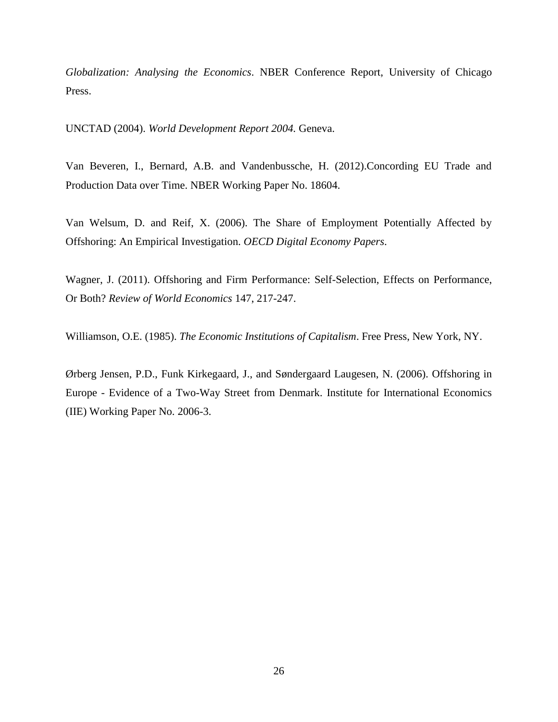*Globalization: Analysing the Economics*. NBER Conference Report, University of Chicago Press.

UNCTAD (2004). *World Development Report 2004.* Geneva.

Van Beveren, I., Bernard, A.B. and Vandenbussche, H. (2012).Concording EU Trade and Production Data over Time. NBER Working Paper No. 18604.

Van Welsum, D. and Reif, X. (2006). The Share of Employment Potentially Affected by Offshoring: An Empirical Investigation. *OECD Digital Economy Papers*.

Wagner, J. (2011). Offshoring and Firm Performance: Self-Selection, Effects on Performance, Or Both? *Review of World Economics* 147, 217-247.

Williamson, O.E. (1985). *The Economic Institutions of Capitalism*. Free Press, New York, NY.

Ørberg Jensen, P.D., Funk Kirkegaard, J., and Søndergaard Laugesen, N. (2006). Offshoring in Europe - Evidence of a Two-Way Street from Denmark. Institute for International Economics (IIE) Working Paper No. 2006-3.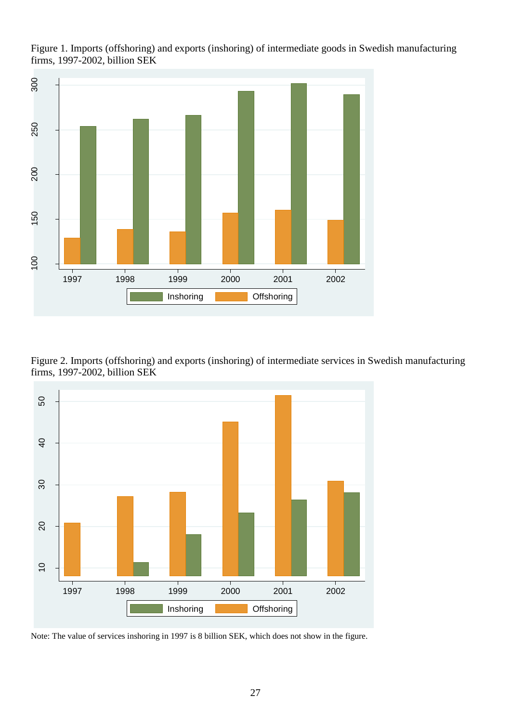

Figure 1. Imports (offshoring) and exports (inshoring) of intermediate goods in Swedish manufacturing firms, 1997-2002, billion SEK

Figure 2. Imports (offshoring) and exports (inshoring) of intermediate services in Swedish manufacturing firms, 1997-2002, billion SEK



Note: The value of services inshoring in 1997 is 8 billion SEK, which does not show in the figure.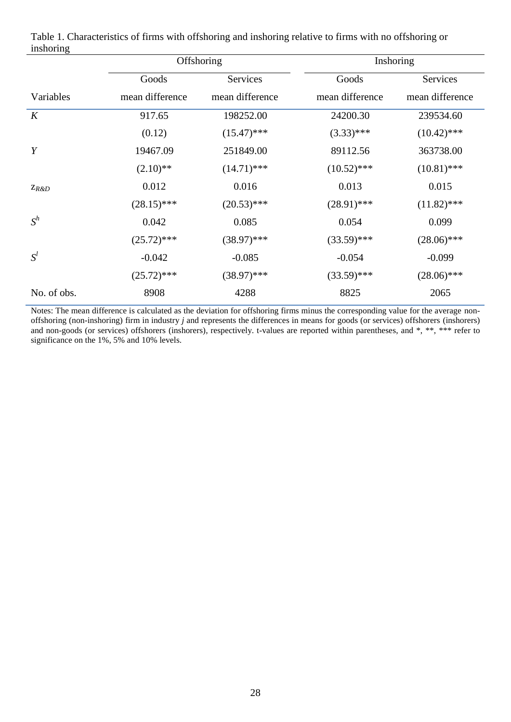|             |                 | Offshoring      |                 | Inshoring       |
|-------------|-----------------|-----------------|-----------------|-----------------|
|             | Goods           | <b>Services</b> | Goods           | Services        |
| Variables   | mean difference | mean difference | mean difference | mean difference |
| K           | 917.65          | 198252.00       | 24200.30        | 239534.60       |
|             | (0.12)          | $(15.47)$ ***   | $(3.33)$ ***    | $(10.42)$ ***   |
| Y           | 19467.09        | 251849.00       | 89112.56        | 363738.00       |
|             | $(2.10)$ **     | $(14.71)$ ***   | $(10.52)$ ***   | $(10.81)$ ***   |
| $Z_{R\&D}$  | 0.012           | 0.016           | 0.013           | 0.015           |
|             | $(28.15)$ ***   | $(20.53)$ ***   | $(28.91)$ ***   | $(11.82)$ ***   |
| $S^h$       | 0.042           | 0.085           | 0.054           | 0.099           |
|             | $(25.72)$ ***   | $(38.97)$ ***   | $(33.59)$ ***   | $(28.06)$ ***   |
| $S^l$       | $-0.042$        | $-0.085$        | $-0.054$        | $-0.099$        |
|             | $(25.72)$ ***   | $(38.97)$ ***   | $(33.59)$ ***   | $(28.06)$ ***   |
| No. of obs. | 8908            | 4288            | 8825            | 2065            |

Table 1. Characteristics of firms with offshoring and inshoring relative to firms with no offshoring or inshoring

Notes: The mean difference is calculated as the deviation for offshoring firms minus the corresponding value for the average nonoffshoring (non-inshoring) firm in industry *j* and represents the differences in means for goods (or services) offshorers (inshorers) and non-goods (or services) offshorers (inshorers), respectively. t-values are reported within parentheses, and \*, \*\*, \*\*\* refer to significance on the 1%, 5% and 10% levels.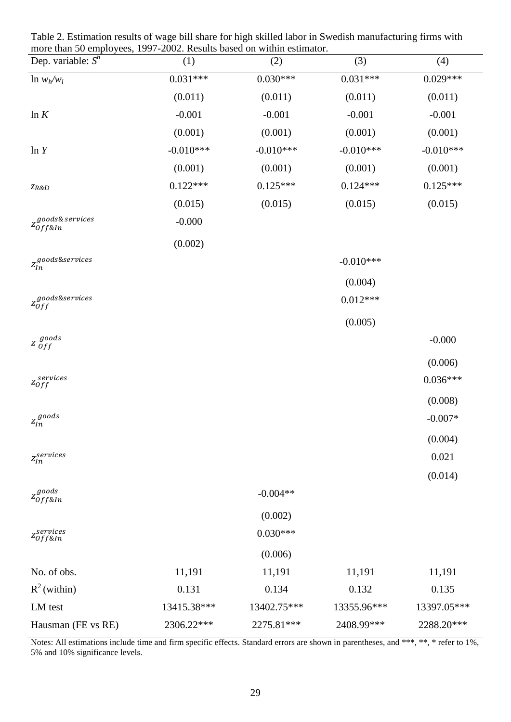| more than 50 employees, 1997-2002. Results based on within estimator. |             |             |             |             |
|-----------------------------------------------------------------------|-------------|-------------|-------------|-------------|
| Dep. variable: $S^h$                                                  | (1)         | (2)         | (3)         | (4)         |
| $\ln w_h/w_l$                                                         | $0.031***$  | $0.030***$  | $0.031***$  | $0.029***$  |
|                                                                       | (0.011)     | (0.011)     | (0.011)     | (0.011)     |
| ln K                                                                  | $-0.001$    | $-0.001$    | $-0.001$    | $-0.001$    |
|                                                                       | (0.001)     | (0.001)     | (0.001)     | (0.001)     |
| ln Y                                                                  | $-0.010***$ | $-0.010***$ | $-0.010***$ | $-0.010***$ |
|                                                                       | (0.001)     | (0.001)     | (0.001)     | (0.001)     |
| ZR&D                                                                  | $0.122***$  | $0.125***$  | $0.124***$  | $0.125***$  |
|                                                                       | (0.015)     | (0.015)     | (0.015)     | (0.015)     |
| zgoods& services<br>Z0ff&In                                           | $-0.000$    |             |             |             |
|                                                                       | (0.002)     |             |             |             |
| $z^{goods\&s$ ervices                                                 |             |             | $-0.010***$ |             |
|                                                                       |             |             | (0.004)     |             |
| $z_{Off}^{goods\&s$ ervices                                           |             |             | $0.012***$  |             |
|                                                                       |             |             | (0.005)     |             |
| $Z$ goods<br>$Off$                                                    |             |             |             | $-0.000$    |
|                                                                       |             |             |             | (0.006)     |
| $\mathbf{z}_{Off}^{serves}$                                           |             |             |             | $0.036***$  |
|                                                                       |             |             |             | (0.008)     |
| $\mathfrak{z}_{\mathfrak{l}n}^{\mathfrak{goods}}$                     |             |             |             | $-0.007*$   |
|                                                                       |             |             |             | (0.004)     |
| $\mathfrak{z}^{services}_{ln}$                                        |             |             |             | 0.021       |
|                                                                       |             |             |             | (0.014)     |
| $z_{off\&In}^{goods}$                                                 |             | $-0.004**$  |             |             |
|                                                                       |             | (0.002)     |             |             |
| $z_{Off\&In}^{services}$                                              |             | $0.030***$  |             |             |
|                                                                       |             | (0.006)     |             |             |
| No. of obs.                                                           | 11,191      | 11,191      | 11,191      | 11,191      |
| $R^2$ (within)                                                        | 0.131       | 0.134       | 0.132       | 0.135       |
| LM test                                                               | 13415.38*** | 13402.75*** | 13355.96*** | 13397.05*** |
| Hausman (FE vs RE)                                                    | 2306.22***  | 2275.81***  | 2408.99***  | 2288.20***  |

Table 2. Estimation results of wage bill share for high skilled labor in Swedish manufacturing firms with

Notes: All estimations include time and firm specific effects. Standard errors are shown in parentheses, and \*\*\*, \*\*, \* refer to 1%, 5% and 10% significance levels.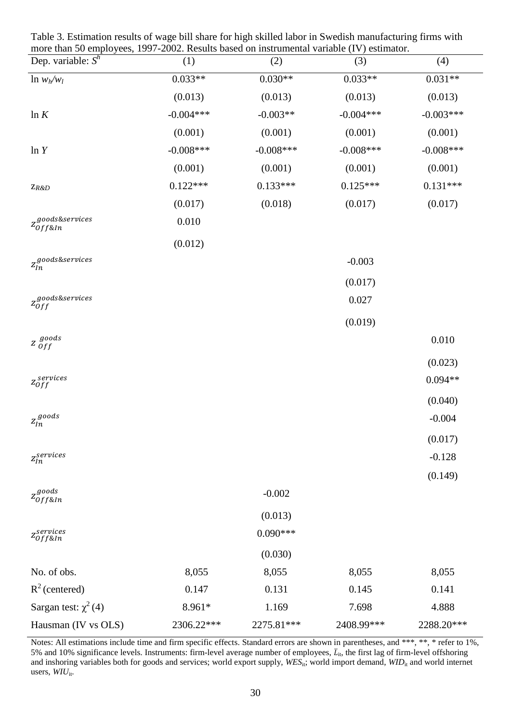| more than 50 employees, 1997-2002. Results based on instrumental variable (IV) estimator.<br>Dep. variable: $S^h$ | (1)          | (2)          | (3)         | (4)         |
|-------------------------------------------------------------------------------------------------------------------|--------------|--------------|-------------|-------------|
| $\ln w_h/w_l$                                                                                                     | $0.033**$    | $0.030**$    | $0.033**$   | $0.031**$   |
|                                                                                                                   | (0.013)      | (0.013)      | (0.013)     | (0.013)     |
| ln K                                                                                                              | $-0.004***$  | $-0.003**$   | $-0.004***$ | $-0.003***$ |
|                                                                                                                   | (0.001)      | (0.001)      | (0.001)     | (0.001)     |
| ln Y                                                                                                              | $-0.008$ *** | $-0.008$ *** | $-0.008***$ | $-0.008***$ |
|                                                                                                                   | (0.001)      | (0.001)      | (0.001)     | (0.001)     |
| $Z_{R\&D}$                                                                                                        | $0.122***$   | $0.133***$   | $0.125***$  | $0.131***$  |
|                                                                                                                   | (0.017)      | (0.018)      | (0.017)     | (0.017)     |
| zgoods&services<br><sup>Z</sup> 0ff&In                                                                            | 0.010        |              |             |             |
|                                                                                                                   | (0.012)      |              |             |             |
| $z^{goods\&s$ ervices                                                                                             |              |              | $-0.003$    |             |
|                                                                                                                   |              |              | (0.017)     |             |
| $z_{Off}^{goods\&s$ ervices                                                                                       |              |              | 0.027       |             |
|                                                                                                                   |              |              | (0.019)     |             |
| $Z$ goods<br>$Off$                                                                                                |              |              |             | 0.010       |
|                                                                                                                   |              |              |             | (0.023)     |
| $z_{Off}^{services}$                                                                                              |              |              |             | $0.094**$   |
|                                                                                                                   |              |              |             | (0.040)     |
| $\mathfrak{z}_{\mathfrak{l}n}^{\mathfrak{goods}}$                                                                 |              |              |             | $-0.004$    |
|                                                                                                                   |              |              |             | (0.017)     |
| $\mathfrak{z}_{\mathfrak{ln}}^{services}$                                                                         |              |              |             | $-0.128$    |
|                                                                                                                   |              |              |             | (0.149)     |
| $z_{off\&In}^{goods}$                                                                                             |              | $-0.002$     |             |             |
|                                                                                                                   |              | (0.013)      |             |             |
| $z_{Off\&In}^{services}$                                                                                          |              | $0.090***$   |             |             |
|                                                                                                                   |              | (0.030)      |             |             |
| No. of obs.                                                                                                       | 8,055        | 8,055        | 8,055       | 8,055       |
| $R^2$ (centered)                                                                                                  | 0.147        | 0.131        | 0.145       | 0.141       |
| Sargan test: $\chi^2(4)$                                                                                          | 8.961*       | 1.169        | 7.698       | 4.888       |
| Hausman (IV vs OLS)                                                                                               | 2306.22***   | 2275.81***   | 2408.99***  | 2288.20***  |

Table 3. Estimation results of wage bill share for high skilled labor in Swedish manufacturing firms with more than 50 employees, 1997-2002. Results based on instrumental variable (IV) estimator.

Notes: All estimations include time and firm specific effects. Standard errors are shown in parentheses, and \*\*\*, \*\*, \* refer to 1%, 5% and 10% significance levels. Instruments: firm-level average number of employees,  $\bar{L}_{it}$ , the first lag of firm-level offshoring and inshoring variables both for goods and services; world export supply, *WES*<sub>it</sub>; world import demand, *WID*<sub>it</sub> and world internet users, WIU<sub>it</sub>.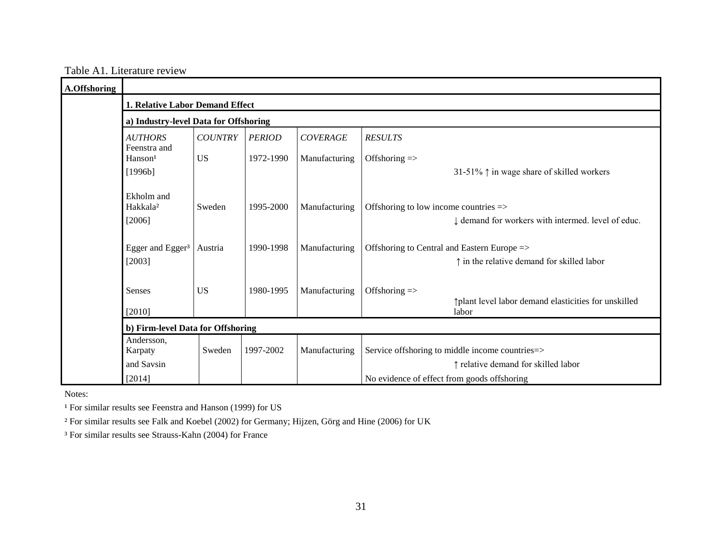|  | Table A1. Literature review |  |
|--|-----------------------------|--|
|  |                             |  |

| A.Offshoring |                                                |                |               |                 |                                                                                                    |
|--------------|------------------------------------------------|----------------|---------------|-----------------|----------------------------------------------------------------------------------------------------|
|              | 1. Relative Labor Demand Effect                |                |               |                 |                                                                                                    |
|              | a) Industry-level Data for Offshoring          |                |               |                 |                                                                                                    |
|              | <b>AUTHORS</b><br>Feenstra and                 | <b>COUNTRY</b> | <b>PERIOD</b> | <b>COVERAGE</b> | <b>RESULTS</b>                                                                                     |
|              | Hanson <sup>1</sup>                            | <b>US</b>      | 1972-1990     | Manufacturing   | Offshoring $\Rightarrow$                                                                           |
|              | [1996b]                                        |                |               |                 | 31-51% $\uparrow$ in wage share of skilled workers                                                 |
|              | Ekholm and<br>Hakkala <sup>2</sup><br>$[2006]$ | Sweden         | 1995-2000     | Manufacturing   | Offshoring to low income countries =><br>I demand for workers with intermed. level of educ.        |
|              | Egger and Egger <sup>3</sup><br>[2003]         | Austria        | 1990-1998     | Manufacturing   | Offshoring to Central and Eastern Europe =><br>$\uparrow$ in the relative demand for skilled labor |
|              | <b>Senses</b><br>[2010]                        | <b>US</b>      | 1980-1995     | Manufacturing   | Offshoring $\Rightarrow$<br>plant level labor demand elasticities for unskilled<br>labor           |
|              | b) Firm-level Data for Offshoring              |                |               |                 |                                                                                                    |
|              | Andersson,<br>Karpaty                          | Sweden         | 1997-2002     | Manufacturing   | Service offshoring to middle income countries=>                                                    |
|              | and Savsin<br>[2014]                           |                |               |                 | ↑ relative demand for skilled labor<br>No evidence of effect from goods offshoring                 |

Notes:

<sup>1</sup> For similar results see Feenstra and Hanson (1999) for US

² For similar results see Falk and Koebel (2002) for Germany; Hijzen, Görg and Hine (2006) for UK

³ For similar results see Strauss-Kahn (2004) for France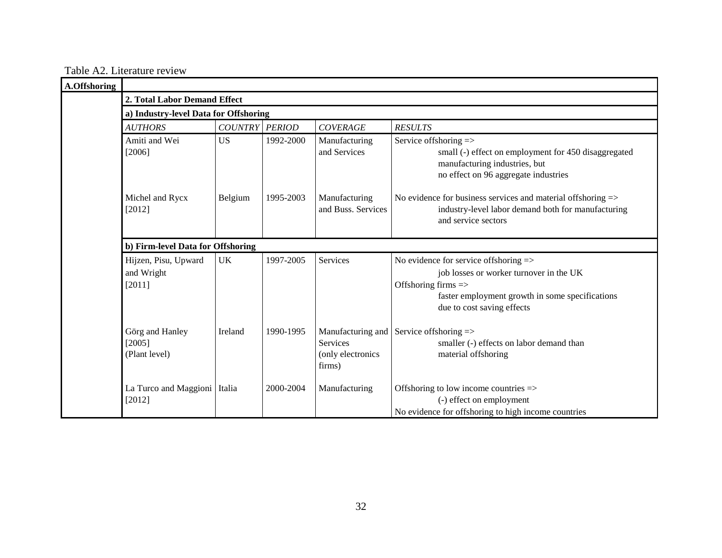Table A2. Literature review

| A.Offshoring |                                                     |                                       |           |                                                                     |                                                                                                                                                                                                     |  |  |  |  |  |
|--------------|-----------------------------------------------------|---------------------------------------|-----------|---------------------------------------------------------------------|-----------------------------------------------------------------------------------------------------------------------------------------------------------------------------------------------------|--|--|--|--|--|
|              |                                                     | 2. Total Labor Demand Effect          |           |                                                                     |                                                                                                                                                                                                     |  |  |  |  |  |
|              |                                                     | a) Industry-level Data for Offshoring |           |                                                                     |                                                                                                                                                                                                     |  |  |  |  |  |
|              | COUNTRY PERIOD<br><b>COVERAGE</b><br><b>AUTHORS</b> |                                       |           |                                                                     | <b>RESULTS</b>                                                                                                                                                                                      |  |  |  |  |  |
|              | Amiti and Wei<br>$[2006]$                           | <b>US</b>                             | 1992-2000 | Manufacturing<br>and Services                                       | Service offshoring $\Rightarrow$<br>small (-) effect on employment for 450 disaggregated<br>manufacturing industries, but<br>no effect on 96 aggregate industries                                   |  |  |  |  |  |
|              | Michel and Rycx<br>[2012]                           | Belgium                               | 1995-2003 | Manufacturing<br>and Buss. Services                                 | No evidence for business services and material offshoring =><br>industry-level labor demand both for manufacturing<br>and service sectors                                                           |  |  |  |  |  |
|              | b) Firm-level Data for Offshoring                   |                                       |           |                                                                     |                                                                                                                                                                                                     |  |  |  |  |  |
|              | Hijzen, Pisu, Upward<br>and Wright<br>[2011]        | <b>UK</b>                             | 1997-2005 | Services                                                            | No evidence for service offshoring $\Rightarrow$<br>job losses or worker turnover in the UK<br>Offshoring firms =><br>faster employment growth in some specifications<br>due to cost saving effects |  |  |  |  |  |
|              | Görg and Hanley<br>[2005]<br>(Plant level)          | Ireland                               | 1990-1995 | Manufacturing and<br><b>Services</b><br>(only electronics<br>firms) | Service offshoring $\Rightarrow$<br>smaller (-) effects on labor demand than<br>material offshoring                                                                                                 |  |  |  |  |  |
|              | La Turco and Maggioni   Italia<br>[2012]            |                                       | 2000-2004 | Manufacturing                                                       | Offshoring to low income countries =><br>(-) effect on employment<br>No evidence for offshoring to high income countries                                                                            |  |  |  |  |  |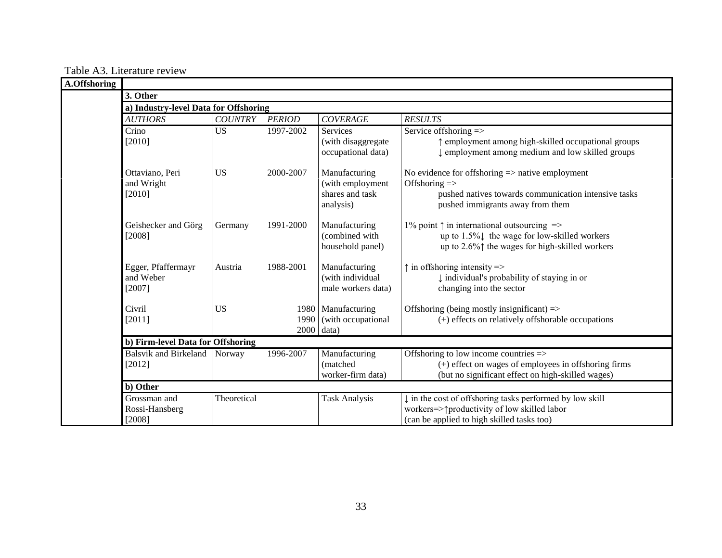Table A3. Literature review

| A.Offshoring |                                           |                |               |                                                         |                                                                                                                                                                              |  |  |
|--------------|-------------------------------------------|----------------|---------------|---------------------------------------------------------|------------------------------------------------------------------------------------------------------------------------------------------------------------------------------|--|--|
|              | 3. Other                                  |                |               |                                                         |                                                                                                                                                                              |  |  |
|              | a) Industry-level Data for Offshoring     |                |               |                                                         |                                                                                                                                                                              |  |  |
|              | <b>AUTHORS</b>                            | <b>COUNTRY</b> | <b>PERIOD</b> | <b>COVERAGE</b>                                         | <b>RESULTS</b>                                                                                                                                                               |  |  |
|              | Crino                                     | <b>US</b>      | 1997-2002     | Services                                                | Service offshoring $\equiv$ >                                                                                                                                                |  |  |
|              | [2010]                                    |                |               | (with disaggregate<br>occupational data)                | ↑ employment among high-skilled occupational groups<br>I employment among medium and low skilled groups                                                                      |  |  |
|              | Ottaviano, Peri                           | <b>US</b>      | 2000-2007     | Manufacturing                                           | No evidence for offshoring $\Rightarrow$ native employment                                                                                                                   |  |  |
|              | and Wright<br>[2010]                      |                |               | (with employment<br>shares and task<br>analysis)        | Offshoring $\Rightarrow$<br>pushed natives towards communication intensive tasks<br>pushed immigrants away from them                                                         |  |  |
|              | Geishecker and Görg<br>[2008]             | Germany        | 1991-2000     | Manufacturing<br>(combined with<br>household panel)     | 1% point $\uparrow$ in international outsourcing $\Rightarrow$<br>up to $1.5\%$ the wage for low-skilled workers<br>up to 2.6% $\uparrow$ the wages for high-skilled workers |  |  |
|              | Egger, Pfaffermayr<br>and Weber<br>[2007] | Austria        | 1988-2001     | Manufacturing<br>(with individual<br>male workers data) | $\uparrow$ in offshoring intensity =><br>↓ individual's probability of staying in or<br>changing into the sector                                                             |  |  |
|              | Civril<br>[2011]                          | <b>US</b>      | $2000$ data)  | 1980 Manufacturing<br>1990 (with occupational           | Offshoring (being mostly insignificant) $\Rightarrow$<br>(+) effects on relatively offshorable occupations                                                                   |  |  |
|              | b) Firm-level Data for Offshoring         |                |               |                                                         |                                                                                                                                                                              |  |  |
|              | <b>Balsvik and Birkeland</b><br>[2012]    | Norway         | 1996-2007     | Manufacturing<br>(matched<br>worker-firm data)          | Offshoring to low income countries $\Rightarrow$<br>$(+)$ effect on wages of employees in offshoring firms<br>(but no significant effect on high-skilled wages)              |  |  |
|              | b) Other                                  |                |               |                                                         |                                                                                                                                                                              |  |  |
|              | Grossman and<br>Rossi-Hansberg<br>[2008]  | Theoretical    |               | Task Analysis                                           | in the cost of offshoring tasks performed by low skill<br>workers=> $\uparrow$ productivity of low skilled labor<br>(can be applied to high skilled tasks too)               |  |  |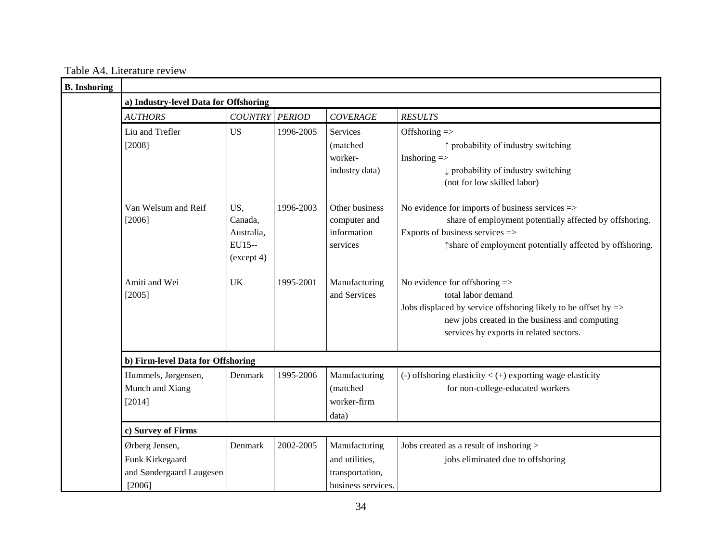Table A4. Literature review

| <b>B.</b> Inshoring |                                                                         |                                                      |               |                                                                          |                                                                                                                                                                                                                               |  |  |
|---------------------|-------------------------------------------------------------------------|------------------------------------------------------|---------------|--------------------------------------------------------------------------|-------------------------------------------------------------------------------------------------------------------------------------------------------------------------------------------------------------------------------|--|--|
|                     | a) Industry-level Data for Offshoring                                   |                                                      |               |                                                                          |                                                                                                                                                                                                                               |  |  |
|                     | <b>AUTHORS</b>                                                          | <b>COUNTRY</b>                                       | <b>PERIOD</b> | <b>COVERAGE</b>                                                          | <b>RESULTS</b>                                                                                                                                                                                                                |  |  |
|                     | Liu and Trefler<br>[2008]                                               | <b>US</b>                                            | 1996-2005     | Services<br>(matched)<br>worker-<br>industry data)                       | Offshoring =><br>↑ probability of industry switching<br>Inshoring $\Rightarrow$<br>probability of industry switching<br>(not for low skilled labor)                                                                           |  |  |
|                     | Van Welsum and Reif<br>[2006]                                           | US,<br>Canada,<br>Australia,<br>EU15--<br>(except 4) | 1996-2003     | Other business<br>computer and<br>information<br>services                | No evidence for imports of business services $\Rightarrow$<br>share of employment potentially affected by offshoring.<br>Exports of business services =><br>thare of employment potentially affected by offshoring.           |  |  |
|                     | Amiti and Wei<br>[2005]                                                 | <b>UK</b>                                            | 1995-2001     | Manufacturing<br>and Services                                            | No evidence for offshoring =><br>total labor demand<br>Jobs displaced by service offshoring likely to be offset by $\Rightarrow$<br>new jobs created in the business and computing<br>services by exports in related sectors. |  |  |
|                     | b) Firm-level Data for Offshoring                                       |                                                      |               |                                                                          |                                                                                                                                                                                                                               |  |  |
|                     | Hummels, Jørgensen,<br>Munch and Xiang<br>[2014]                        | Denmark                                              | 1995-2006     | Manufacturing<br>(matched<br>worker-firm<br>data)                        | (-) offshoring elasticity $\lt$ (+) exporting wage elasticity<br>for non-college-educated workers                                                                                                                             |  |  |
|                     | c) Survey of Firms                                                      |                                                      |               |                                                                          |                                                                                                                                                                                                                               |  |  |
|                     | Ørberg Jensen,<br>Funk Kirkegaard<br>and Søndergaard Laugesen<br>[2006] | Denmark                                              | 2002-2005     | Manufacturing<br>and utilities,<br>transportation,<br>business services. | Jobs created as a result of inshoring ><br>jobs eliminated due to offshoring                                                                                                                                                  |  |  |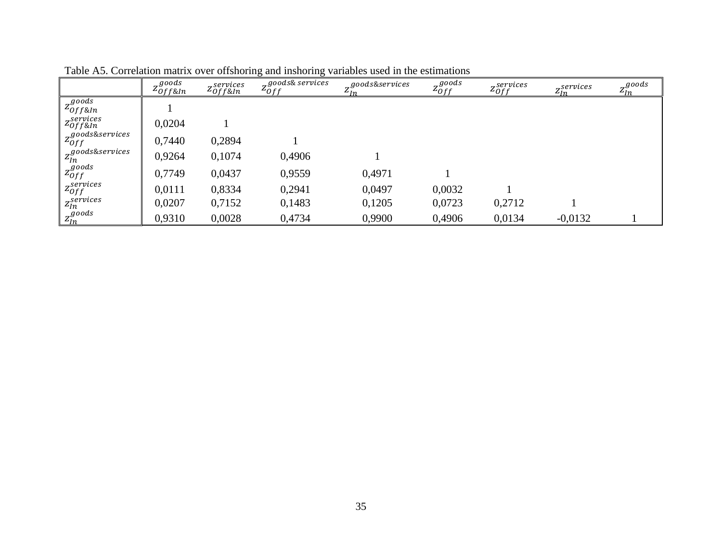|                                     | $7\,$ goods<br>$4$ Off&In | services<br>$z_{off\&In}$ | $7$ goods& services<br>$4$ Of f | $7\,$ goods&services | $7^{goods}$<br>$4$ Off | zservices<br>$4$ 0ff | $\sigma$ services<br>4In | $7^{goods}$<br>$\frac{2}{n}$ |
|-------------------------------------|---------------------------|---------------------------|---------------------------------|----------------------|------------------------|----------------------|--------------------------|------------------------------|
| $z_{off\&In}^{goods}$               |                           |                           |                                 |                      |                        |                      |                          |                              |
| z <sup>services</sup><br>20f f & In | 0,0204                    |                           |                                 |                      |                        |                      |                          |                              |
| $z_{Off}^{goods\&s$ ervices         | 0,7440                    | 0,2894                    |                                 |                      |                        |                      |                          |                              |
| $z_{In}^{goods\&s$ ervices          | 0,9264                    | 0,1074                    | 0,4906                          |                      |                        |                      |                          |                              |
| $z_{Off}^{goods}$                   | 0,7749                    | 0,0437                    | 0,9559                          | 0,4971               |                        |                      |                          |                              |
| $\mathcal{Z}^{services}_{Off}$      | 0,0111                    | 0,8334                    | 0,2941                          | 0,0497               | 0,0032                 |                      |                          |                              |
| z <sub>In</sub> <sup>services</sup> | 0,0207                    | 0,7152                    | 0,1483                          | 0,1205               | 0,0723                 | 0,2712               |                          |                              |
| $z_{ln}^{goods}$                    | 0,9310                    | 0,0028                    | 0,4734                          | 0,9900               | 0,4906                 | 0,0134               | $-0.0132$                |                              |

Table A5. Correlation matrix over offshoring and inshoring variables used in the estimations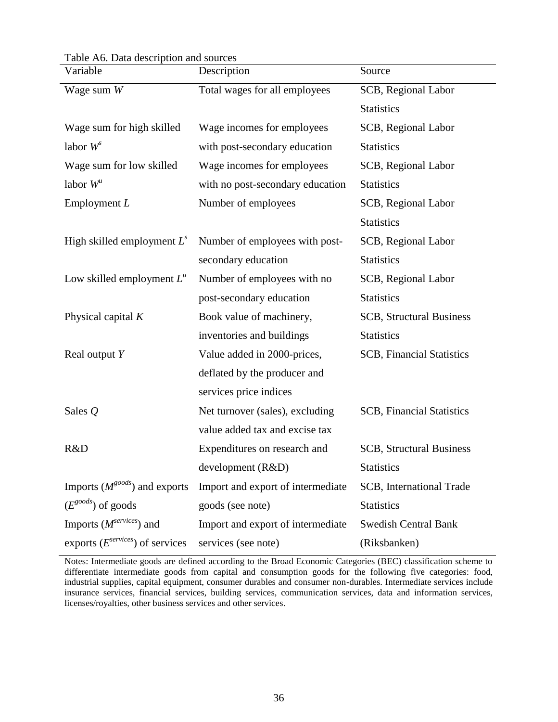Table A6. Data description and sources

| Variable                             | Description                       | Source                           |
|--------------------------------------|-----------------------------------|----------------------------------|
| Wage sum $W$                         | Total wages for all employees     | SCB, Regional Labor              |
|                                      |                                   | <b>Statistics</b>                |
| Wage sum for high skilled            | Wage incomes for employees        | <b>SCB</b> , Regional Labor      |
| labor $W^s$                          | with post-secondary education     | <b>Statistics</b>                |
| Wage sum for low skilled             | Wage incomes for employees        | SCB, Regional Labor              |
| labor $W^u$                          | with no post-secondary education  | <b>Statistics</b>                |
| Employment $L$                       | Number of employees               | <b>SCB</b> , Regional Labor      |
|                                      |                                   | <b>Statistics</b>                |
| High skilled employment $L^s$        | Number of employees with post-    | <b>SCB</b> , Regional Labor      |
|                                      | secondary education               | <b>Statistics</b>                |
| Low skilled employment $L^u$         | Number of employees with no       | SCB, Regional Labor              |
|                                      | post-secondary education          | <b>Statistics</b>                |
| Physical capital $K$                 | Book value of machinery,          | <b>SCB, Structural Business</b>  |
|                                      | inventories and buildings         | <b>Statistics</b>                |
| Real output $Y$                      | Value added in 2000-prices,       | <b>SCB, Financial Statistics</b> |
|                                      | deflated by the producer and      |                                  |
|                                      | services price indices            |                                  |
| Sales $Q$                            | Net turnover (sales), excluding   | <b>SCB, Financial Statistics</b> |
|                                      | value added tax and excise tax    |                                  |
| R&D                                  | Expenditures on research and      | <b>SCB, Structural Business</b>  |
|                                      | development(R&D)                  | <b>Statistics</b>                |
| Imports $(M^{goods})$ and exports    | Import and export of intermediate | SCB, International Trade         |
| $(E^{goods})$ of goods               | goods (see note)                  | <b>Statistics</b>                |
| Imports $(M^{series})$ and           | Import and export of intermediate | <b>Swedish Central Bank</b>      |
| exports $(E^{services})$ of services | services (see note)               | (Riksbanken)                     |

Notes: Intermediate goods are defined according to the Broad Economic Categories (BEC) classification scheme to differentiate intermediate goods from capital and consumption goods for the following five categories: food, industrial supplies, capital equipment, consumer durables and consumer non-durables. Intermediate services include insurance services, financial services, building services, communication services, data and information services, licenses/royalties, other business services and other services.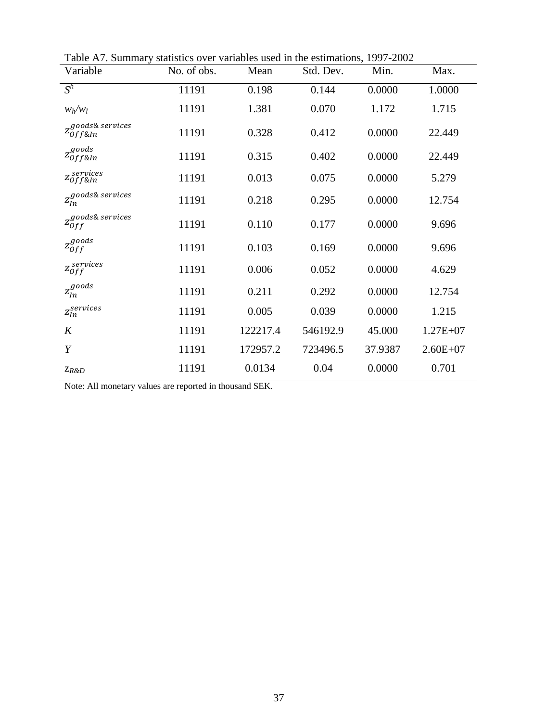| Variable                                      | No. of obs. | Mean     | Std. Dev. | Min.    | Max.         |
|-----------------------------------------------|-------------|----------|-----------|---------|--------------|
| $S^h$                                         | 11191       | 0.198    | 0.144     | 0.0000  | 1.0000       |
| $w_h/w_l$                                     | 11191       | 1.381    | 0.070     | 1.172   | 1.715        |
| z goods& services<br>Z <sub>Of f&amp;In</sub> | 11191       | 0.328    | 0.412     | 0.0000  | 22.449       |
| $z_{off\&In}^{goods}$                         | 11191       | 0.315    | 0.402     | 0.0000  | 22.449       |
| $z_{off\&In}^{services}$                      | 11191       | 0.013    | 0.075     | 0.0000  | 5.279        |
| $z_{In}^{goods\&\,$ services                  | 11191       | 0.218    | 0.295     | 0.0000  | 12.754       |
| $z_{Off}^{goods\&\,series}$                   | 11191       | 0.110    | 0.177     | 0.0000  | 9.696        |
| $z_{off}^{goods}$                             | 11191       | 0.103    | 0.169     | 0.0000  | 9.696        |
| $\mathbf{z}_{Off}^{serves}$                   | 11191       | 0.006    | 0.052     | 0.0000  | 4.629        |
| $\mathfrak{z}_{\mathfrak{ln}}^{goods}$        | 11191       | 0.211    | 0.292     | 0.0000  | 12.754       |
| $\mathfrak{z}_{\mathfrak{l}n}^{services}$     | 11191       | 0.005    | 0.039     | 0.0000  | 1.215        |
| K                                             | 11191       | 122217.4 | 546192.9  | 45.000  | $1.27E + 07$ |
| Y                                             | 11191       | 172957.2 | 723496.5  | 37.9387 | $2.60E + 07$ |
| $Z_{R\&D}$                                    | 11191       | 0.0134   | 0.04      | 0.0000  | 0.701        |

Table A7. Summary statistics over variables used in the estimations, 1997-2002

Note: All monetary values are reported in thousand SEK.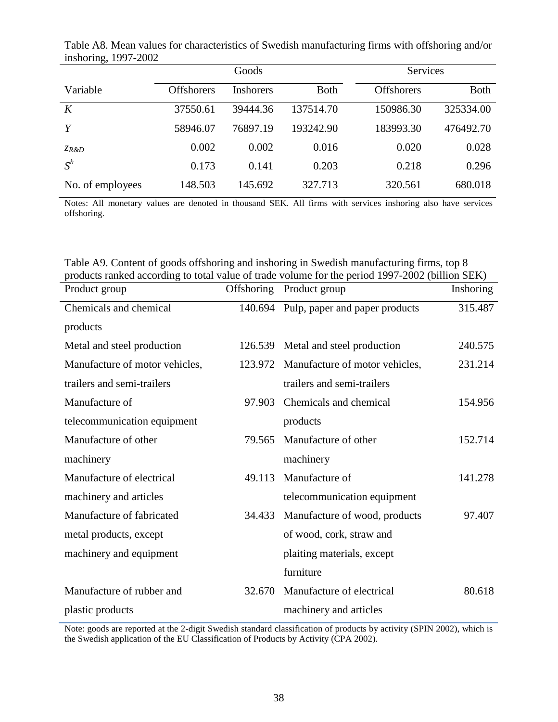|                  |                   | Goods            |              | Services          |             |  |
|------------------|-------------------|------------------|--------------|-------------------|-------------|--|
| Variable         | <b>Offshorers</b> | <b>Inshorers</b> | <b>B</b> oth | <b>Offshorers</b> | <b>Both</b> |  |
| K                | 37550.61          | 39444.36         | 137514.70    | 150986.30         | 325334.00   |  |
| Y                | 58946.07          | 76897.19         | 193242.90    | 183993.30         | 476492.70   |  |
| ZR&D             | 0.002             | 0.002            | 0.016        | 0.020             | 0.028       |  |
| $S^h$            | 0.173             | 0.141            | 0.203        | 0.218             | 0.296       |  |
| No. of employees | 148.503           | 145.692          | 327.713      | 320.561           | 680.018     |  |

Table A8. Mean values for characteristics of Swedish manufacturing firms with offshoring and/or inshoring, 1997-2002

Notes: All monetary values are denoted in thousand SEK. All firms with services inshoring also have services offshoring.

| Table A9. Content of goods offshoring and inshoring in Swedish manufacturing firms, top 8       |
|-------------------------------------------------------------------------------------------------|
| products ranked according to total value of trade volume for the period 1997-2002 (billion SEK) |

| Product group                  | Offshoring | Product group                          | Inshoring |
|--------------------------------|------------|----------------------------------------|-----------|
| Chemicals and chemical         |            | 140.694 Pulp, paper and paper products | 315.487   |
| products                       |            |                                        |           |
| Metal and steel production     |            | 126.539 Metal and steel production     | 240.575   |
| Manufacture of motor vehicles, | 123.972    | Manufacture of motor vehicles,         | 231.214   |
| trailers and semi-trailers     |            | trailers and semi-trailers             |           |
| Manufacture of                 | 97.903     | Chemicals and chemical                 | 154.956   |
| telecommunication equipment    |            | products                               |           |
| Manufacture of other           | 79.565     | Manufacture of other                   | 152.714   |
| machinery                      |            | machinery                              |           |
| Manufacture of electrical      | 49.113     | Manufacture of                         | 141.278   |
| machinery and articles         |            | telecommunication equipment            |           |
| Manufacture of fabricated      | 34.433     | Manufacture of wood, products          | 97.407    |
| metal products, except         |            | of wood, cork, straw and               |           |
| machinery and equipment        |            | plaiting materials, except             |           |
|                                |            | furniture                              |           |
| Manufacture of rubber and      | 32.670     | Manufacture of electrical              | 80.618    |
| plastic products               |            | machinery and articles                 |           |

Note: goods are reported at the 2-digit Swedish standard classification of products by activity (SPIN 2002), which is the Swedish application of the EU Classification of Products by Activity (CPA 2002).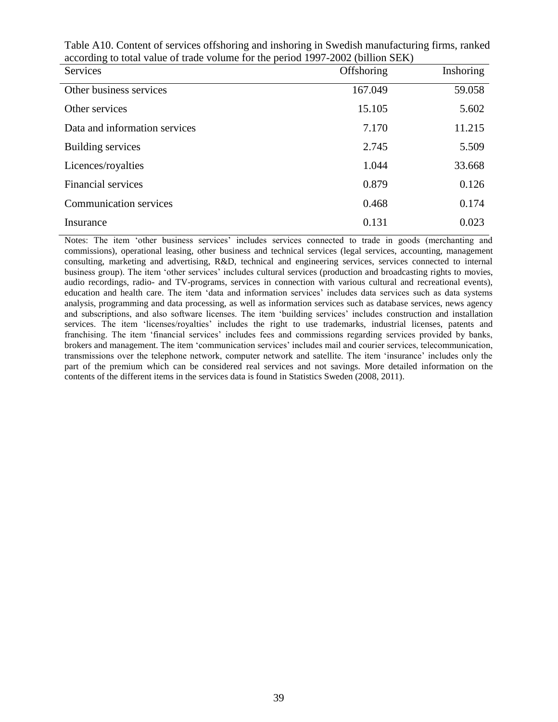| Services                      | Offshoring | Inshoring |
|-------------------------------|------------|-----------|
| Other business services       | 167.049    | 59.058    |
| Other services                | 15.105     | 5.602     |
| Data and information services | 7.170      | 11.215    |
| <b>Building services</b>      | 2.745      | 5.509     |
| Licences/royalties            | 1.044      | 33.668    |
| Financial services            | 0.879      | 0.126     |
| <b>Communication services</b> | 0.468      | 0.174     |
| Insurance                     | 0.131      | 0.023     |

Table A10. Content of services offshoring and inshoring in Swedish manufacturing firms, ranked according to total value of trade volume for the period 1997-2002 (billion SEK)

Notes: The item 'other business services' includes services connected to trade in goods (merchanting and commissions), operational leasing, other business and technical services (legal services, accounting, management consulting, marketing and advertising, R&D, technical and engineering services, services connected to internal business group). The item 'other services' includes cultural services (production and broadcasting rights to movies, audio recordings, radio- and TV-programs, services in connection with various cultural and recreational events), education and health care. The item 'data and information services' includes data services such as data systems analysis, programming and data processing, as well as information services such as database services, news agency and subscriptions, and also software licenses. The item 'building services' includes construction and installation services. The item 'licenses/royalties' includes the right to use trademarks, industrial licenses, patents and franchising. The item 'financial services' includes fees and commissions regarding services provided by banks, brokers and management. The item 'communication services' includes mail and courier services, telecommunication, transmissions over the telephone network, computer network and satellite. The item 'insurance' includes only the part of the premium which can be considered real services and not savings. More detailed information on the contents of the different items in the services data is found in Statistics Sweden (2008, 2011).